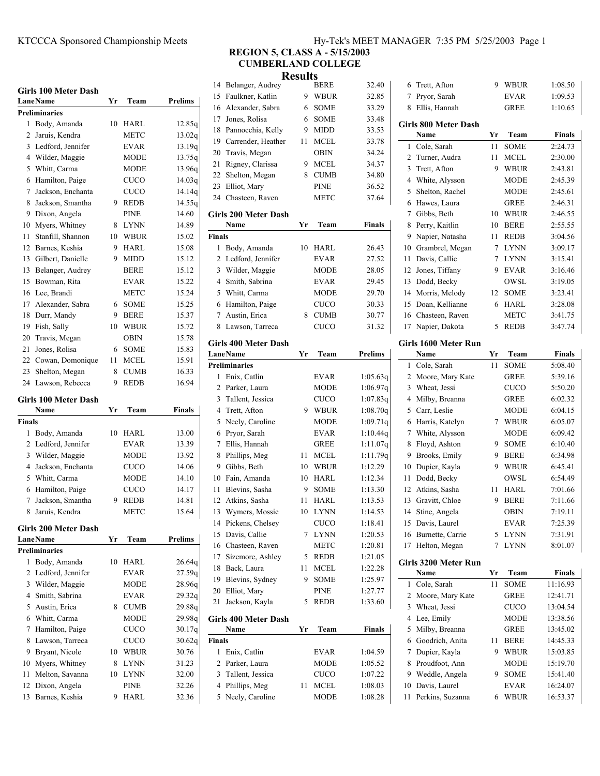## **Girls 100 Meter Dash**

|                | GIFIS TOO METEF DASH        |    |             |                |
|----------------|-----------------------------|----|-------------|----------------|
|                | <b>Lane Name</b>            | Yr | Team        | Prelims        |
|                | <b>Preliminaries</b>        |    |             |                |
| 1              | Body, Amanda                | 10 | <b>HARL</b> | 12.85q         |
| 2              | Jaruis, Kendra              |    | <b>METC</b> | 13.02q         |
| 3              | Ledford, Jennifer           |    | <b>EVAR</b> | 13.19g         |
| 4              | Wilder, Maggie              |    | <b>MODE</b> | 13.75q         |
| 5              | Whitt, Carma                |    | <b>MODE</b> | 13.96g         |
| 6              | Hamilton, Paige             |    | CUCO        | 14.03q         |
| 7              | Jackson, Enchanta           |    | <b>CUCO</b> | 14.14q         |
| 8              | Jackson, Smantha            | 9  | <b>REDB</b> | 14.55q         |
| 9              | Dixon, Angela               |    | <b>PINE</b> | 14.60          |
| 10             | Myers, Whitney              | 8  | <b>LYNN</b> | 14.89          |
| 11             | Stanfill, Shannon           | 10 | <b>WBUR</b> | 15.02          |
| 12             | Barnes, Keshia              | 9  | HARL        | 15.08          |
| 13             | Gilbert, Danielle           | 9  | MIDD        | 15.12          |
| 13             | Belanger, Audrey            |    | <b>BERE</b> | 15.12          |
| 15             | Bowman, Rita                |    | <b>EVAR</b> | 15.22          |
| 16             | Lee, Brandi                 |    | <b>METC</b> | 15.24          |
| 17             | Alexander, Sabra            | 6  | <b>SOME</b> | 15.25          |
| 18             | Durr, Mandy                 | 9  | <b>BERE</b> | 15.37          |
| 19             | Fish, Sally                 | 10 | <b>WBUR</b> | 15.72          |
| 20             | Travis, Megan               |    | <b>OBIN</b> | 15.78          |
| 21             | Jones, Rolisa               |    | <b>SOME</b> | 15.83          |
| 22             |                             | 6  |             |                |
|                | Cowan, Domonique            | 11 | <b>MCEL</b> | 15.91          |
| 23             | Shelton, Megan              | 8  | <b>CUMB</b> | 16.33          |
| 24             | Lawson, Rebecca             | 9  | <b>REDB</b> | 16.94          |
|                | <b>Girls 100 Meter Dash</b> |    |             |                |
|                | Name                        | Yr | Team        | <b>Finals</b>  |
| <b>Finals</b>  |                             |    |             |                |
| 1              | Body, Amanda                | 10 | HARL        | 13.00          |
|                | 2 Ledford, Jennifer         |    | <b>EVAR</b> | 13.39          |
| 3              | Wilder, Maggie              |    | <b>MODE</b> | 13.92          |
| $\overline{4}$ | Jackson, Enchanta           |    | <b>CUCO</b> | 14.06          |
|                | 5 Whitt, Carma              |    | <b>MODE</b> | 14.10          |
| 6              | Hamilton, Paige             |    | <b>CUCO</b> | 14.17          |
| 7              | Jackson, Smantha            | 9  | <b>REDB</b> | 14.81          |
| 8              | Jaruis, Kendra              |    | <b>METC</b> | 15.64          |
|                |                             |    |             |                |
|                | Girls 200 Meter Dash        |    |             |                |
|                | <b>LaneName</b>             | Yr | Team        | <b>Prelims</b> |
|                | Preliminaries               |    |             |                |
| 1              | Body, Amanda                | 10 | HARL        | 26.64q         |
| 2              | Ledford, Jennifer           |    | <b>EVAR</b> | 27.59q         |
| 3              | Wilder, Maggie              |    | <b>MODE</b> | 28.96q         |
| 4              | Smith, Sabrina              |    | EVAR        | 29.32q         |
| 5              | Austin, Erica               | 8  | <b>CUMB</b> | 29.88q         |
| 6              | Whitt, Carma                |    | <b>MODE</b> | 29.98q         |
| 7              | Hamilton, Paige             |    | CUCO        | 30.17q         |
| 8              | Lawson, Tarreca             |    | <b>CUCO</b> | 30.62q         |
| 9              | Bryant, Nicole              | 10 | WBUR        | 30.76          |
| 10             | Myers, Whitney              | 8  | LYNN        | 31.23          |
| 11             | Melton, Savanna             | 10 | LYNN        | 32.00          |
| 12             |                             |    |             |                |
|                | Dixon, Angela               |    | PINE        | 32.26          |

# KTCCCA Sponsored Championship Meets Hy-Tek's MEET MANAGER 7:35 PM 5/25/2003 Page 1

#### **REGION 5, CLASS A - 5/15/2003 CUMBERLAND COLLEGE Results**

|               |                                     | Results |             |               |
|---------------|-------------------------------------|---------|-------------|---------------|
| 14            | Belanger, Audrey                    |         | <b>BERE</b> | 32.40         |
| 15            | Faulkner, Katlin                    | 9       | <b>WBUR</b> | 32.85         |
| 16            | Alexander, Sabra                    | 6       | <b>SOME</b> | 33.29         |
| 17            | Jones, Rolisa                       | 6       | SOME        | 33.48         |
| 18            | Pannocchia, Kelly                   | 9       | <b>MIDD</b> | 33.53         |
| 19            | Carrender, Heather                  | 11      | MCEL        | 33.78         |
| 20            | Travis, Megan                       |         | OBIN        | 34.24         |
| 21            | Rigney, Clarissa                    | 9       | <b>MCEL</b> | 34.37         |
| 22            | Shelton, Megan                      | 8       | <b>CUMB</b> | 34.80         |
| 23            | Elliot, Mary                        |         | <b>PINE</b> | 36.52         |
| 24            | Chasteen, Raven                     |         | <b>METC</b> | 37.64         |
|               | Girls 200 Meter Dash<br>Name        | Yr      |             | <b>Finals</b> |
| <b>Finals</b> |                                     |         | Team        |               |
| 1             | Body, Amanda                        | 10      | HARL        | 26.43         |
| 2             | Ledford, Jennifer                   |         | <b>EVAR</b> | 27.52         |
| 3             | Wilder, Maggie                      |         | <b>MODE</b> | 28.05         |
| 4             | Smith, Sabrina                      |         | <b>EVAR</b> | 29.45         |
|               | 5 Whitt, Carma                      |         | <b>MODE</b> | 29.70         |
| 6             | Hamilton, Paige                     |         | <b>CUCO</b> | 30.33         |
| 7             | Austin, Erica                       | 8       | <b>CUMB</b> | 30.77         |
| 8             | Lawson, Tarreca                     |         | <b>CUCO</b> | 31.32         |
|               |                                     |         |             |               |
|               | <b>Girls 400 Meter Dash</b>         |         |             |               |
|               | <b>LaneName</b>                     | Yr      | Team        | Prelims       |
|               | <b>Preliminaries</b>                |         |             |               |
| 1             | Enix, Catlin                        |         | EVAR        | 1:05.63q      |
| 2             | Parker, Laura                       |         | <b>MODE</b> | 1:06.97q      |
| 3             | Tallent, Jessica                    |         | <b>CUCO</b> | 1:07.83q      |
| 4             | Trett, Afton                        | 9       | <b>WBUR</b> | 1:08.70q      |
| 5             | Neely, Caroline                     |         | <b>MODE</b> | 1:09.71q      |
| 6             | Pryor, Sarah                        |         | <b>EVAR</b> | 1:10.44q      |
| 7             | Ellis, Hannah                       |         | <b>GREE</b> | 1:11.07q      |
| 8             | Phillips, Meg                       | 11      | MCEL        | 1:11.79q      |
| 9             | Gibbs, Beth                         | 10      | <b>WBUR</b> | 1:12.29       |
| 10            | Fain, Amanda                        | 10      | HARL        | 1:12.34       |
| 11            | Blevins, Sasha                      | 9       | SOME        | 1:13.30       |
| 12            | Atkins, Sasha                       | 11      | HARL        | 1:13.53       |
| 13            | Wymers, Mossie                      | 10      | LYNN        | 1:14.53       |
| 14            | Pickens, Chelsey                    |         | <b>CUCO</b> | 1:18.41       |
| 15            | Davis, Callie                       | 7       | <b>LYNN</b> | 1:20.53       |
| 16            | Chasteen, Raven                     |         | METC        | 1:20.81       |
| 17            | Sizemore, Ashley                    | 5       | <b>REDB</b> | 1:21.05       |
| 18            | Back, Laura                         | 11      | <b>MCEL</b> | 1:22.28       |
| 19            | Blevins, Sydney                     | 9       | SOME        | 1:25.97       |
| 20            | Elliot, Mary                        |         | PINE        | 1:27.77       |
| 21            | Jackson, Kayla                      | 5       | <b>REDB</b> | 1:33.60       |
|               | <b>Girls 400 Meter Dash</b><br>Name | Yr      | Team        | Finals        |
| Finals        |                                     |         |             |               |
| 1             | Enix, Catlin                        |         | EVAR        | 1:04.59       |
| 2             | Parker, Laura                       |         | <b>MODE</b> | 1:05.52       |
|               | 3 Tallent, Jessica                  |         | <b>CUCO</b> | 1:07.22       |
| 4             | Phillips, Meg                       | 11      | <b>MCEL</b> | 1:08.03       |
| 5             | Neely, Caroline                     |         | MODE        | 1:08.28       |
|               |                                     |         |             |               |

| 6  | Trett, Afton                        | 9  | WBUR        | 1:08.50            |
|----|-------------------------------------|----|-------------|--------------------|
| 7  | Pryor, Sarah                        |    | <b>EVAR</b> | 1:09.53            |
| 8  | Ellis, Hannah                       |    | <b>GREE</b> | 1:10.65            |
|    |                                     |    |             |                    |
|    | <b>Girls 800 Meter Dash</b><br>Name | Yr | Team        | <b>Finals</b>      |
| 1  | Cole, Sarah                         | 11 | <b>SOME</b> | 2:24.73            |
| 2  | Turner, Audra                       | 11 | <b>MCEL</b> | 2:30.00            |
| 3  | Trett, Afton                        | 9  | <b>WBUR</b> | 2:43.81            |
| 4  | White, Alysson                      |    | <b>MODE</b> | 2:45.39            |
| 5  | Shelton, Rachel                     |    | <b>MODE</b> | 2:45.61            |
| 6  | Hawes, Laura                        |    | <b>GREE</b> | 2:46.31            |
| 7  | Gibbs, Beth                         | 10 | <b>WBUR</b> | 2:46.55            |
| 8  | Perry, Kaitlin                      | 10 | <b>BERE</b> | 2:55.55            |
| 9  | Napier, Natasha                     | 11 | REDB        | 3:04.56            |
| 10 | Grambrel, Megan                     | 7  | <b>LYNN</b> | 3:09.17            |
| 11 | Davis, Callie                       | 7  | <b>LYNN</b> | 3:15.41            |
| 12 | Jones, Tiffany                      | 9  | <b>EVAR</b> | 3:16.46            |
| 13 | Dodd, Becky                         |    | OWSL        | 3:19.05            |
| 14 | Morris, Melody                      | 12 | <b>SOME</b> | 3:23.41            |
|    |                                     |    |             |                    |
| 15 | Doan, Kellianne                     | 6  | HARL        | 3:28.08            |
| 16 | Chasteen, Raven                     | 5  | METC        | 3:41.75<br>3:47.74 |
| 17 | Napier, Dakota                      |    | <b>REDB</b> |                    |
|    | Girls 1600 Meter Run                |    |             |                    |
|    | Name                                | Yr | Team        | Finals             |
| 1  | Cole, Sarah                         | 11 | <b>SOME</b> | 5:08.40            |
| 2  | Moore, Mary Kate                    |    | <b>GREE</b> | 5:39.16            |
| 3  | Wheat, Jessi                        |    | CUCO        | 5:50.20            |
| 4  | Milby, Breanna                      |    | <b>GREE</b> | 6:02.32            |
| 5  | Carr, Leslie                        |    | <b>MODE</b> | 6:04.15            |
| 6  | Harris, Katelyn                     | 7  | <b>WBUR</b> | 6:05.07            |
| 7  | White, Alysson                      |    | <b>MODE</b> | 6:09.42            |
| 8  | Floyd, Ashton                       | 9  | <b>SOME</b> | 6:10.40            |
| 9  | Brooks, Emily                       | 9  | <b>BERE</b> | 6:34.98            |
| 10 | Dupier, Kayla                       | 9  | <b>WBUR</b> | 6:45.41            |
| 11 | Dodd, Becky                         |    | OWSL        | 6:54.49            |
| 12 | Atkins, Sasha                       | 11 | HARL        | 7:01.66            |
| 13 | Gravitt, Chloe                      | 9  | <b>BERE</b> | 7:11.66            |
| 14 | Stine, Angela                       |    | <b>OBIN</b> | 7:19.11            |
| 15 | Davis, Laurel                       |    | <b>EVAR</b> | 7:25.39            |
| 16 | Burnette, Carrie                    | 5  | <b>LYNN</b> | 7:31.91            |
| 17 | Helton, Megan                       | 7  | <b>LYNN</b> | 8:01.07            |
|    | Girls 3200 Meter Run                |    |             |                    |
|    | Name                                | Yr | Team        | Finals             |
| 1  | Cole, Sarah                         | 11 | SOME        | 11:16.93           |
| 2  | Moore, Mary Kate                    |    | GREE        | 12:41.71           |
| 3  | Wheat, Jessi                        |    | <b>CUCO</b> | 13:04.54           |
| 4  | Lee, Emily                          |    | MODE        | 13:38.56           |
| 5  | Milby, Breanna                      |    | GREE        | 13:45.02           |
| 6  | Goodrich, Anita                     | 11 | <b>BERE</b> | 14:45.33           |
| 7  | Dupier, Kayla                       | 9  | WBUR        | 15:03.85           |
| 8  | Proudfoot, Ann                      |    | MODE        | 15:19.70           |
| 9  | Weddle, Angela                      | 9  | SOME        | 15:41.40           |
| 10 | Davis, Laurel                       |    | EVAR        | 16:24.07           |
| 11 | Perkins, Suzanna                    | 6  | WBUR        | 16:53.37           |
|    |                                     |    |             |                    |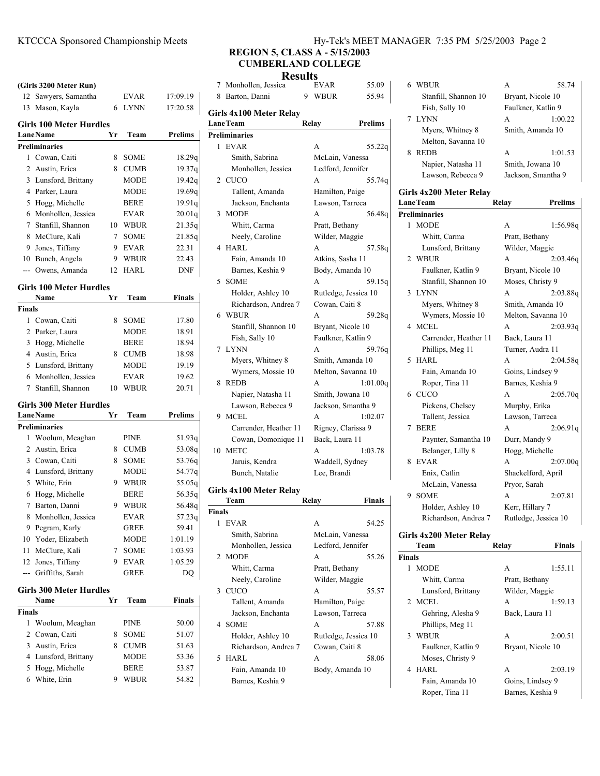# KTCCCA Sponsored Championship Meets Hy-Tek's MEET MANAGER 7:35 PM 5/25/2003 Page 2

# **REGION 5, CLASS A - 5/15/2003 CUMBERLAND COLLEGE**

|               | (Girls 3200 Meter Run)         |    |             |                | 7      | Monhollen, J                |
|---------------|--------------------------------|----|-------------|----------------|--------|-----------------------------|
|               | 12 Sawyers, Samantha           |    | EVAR        | 17:09.19       | 8      | Barton, Danr                |
|               | 13 Mason, Kayla                | 6  | LYNN        | 17:20.58       |        |                             |
|               | <b>Girls 100 Meter Hurdles</b> |    |             |                |        | Girls 4x100 Me<br>Lane Team |
|               | <b>Lane Name</b>               | Yr | Team        | <b>Prelims</b> |        | <b>Preliminaries</b>        |
|               | <b>Preliminaries</b>           |    |             |                | 1      | EVAR                        |
| 1             | Cowan, Caiti                   | 8  | <b>SOME</b> | 18.29q         |        | Smith, Sab                  |
| 2             | Austin, Erica                  | 8  | <b>CUMB</b> | 19.37q         |        | Monhollen                   |
|               | 3 Lunsford, Brittany           |    | MODE        | 19.42g         |        | 2 CUCO                      |
|               | 4 Parker, Laura                |    | MODE        | 19.69q         |        | Tallent, Ar                 |
|               | 5 Hogg, Michelle               |    | <b>BERE</b> | 19.91q         |        | Jackson, Er                 |
|               | 6 Monhollen, Jessica           |    | EVAR        | 20.01q         |        | 3 MODE                      |
|               | 7 Stanfill, Shannon            | 10 | <b>WBUR</b> | 21.35q         |        | Whitt, Cari                 |
|               | 8 McClure, Kali                | 7  | SOME        | 21.85q         |        | Neely, Car                  |
|               | 9 Jones, Tiffany               | 9  | <b>EVAR</b> | 22.31          |        | 4 HARL                      |
|               | 10 Bunch, Angela               | 9  | <b>WBUR</b> | 22.43          |        | Fain, Amar                  |
| $---$         | Owens, Amanda                  | 12 | HARL        | DNF            |        | Barnes, Ke                  |
|               | <b>Girls 100 Meter Hurdles</b> |    |             |                |        | 5 SOME                      |
|               | Name                           | Yr | Team        | Finals         |        | Holder, As                  |
| <b>Finals</b> |                                |    |             |                |        | Richardson                  |
|               | 1 Cowan, Caiti                 | 8  | <b>SOME</b> | 17.80          |        | 6 WBUR                      |
|               | 2 Parker, Laura                |    | <b>MODE</b> | 18.91          |        | Stanfill, Sh                |
|               | 3 Hogg, Michelle               |    | <b>BERE</b> | 18.94          |        | Fish, Sally                 |
|               | 4 Austin, Erica                | 8  | <b>CUMB</b> | 18.98          |        | 7 LYNN                      |
|               | 5 Lunsford, Brittany           |    | <b>MODE</b> | 19.19          |        | Myers, Wh                   |
|               | 6 Monhollen, Jessica           |    | EVAR        | 19.62          |        | Wymers, M                   |
| 7             | Stanfill, Shannon              | 10 | WBUR        | 20.71          |        | 8 REDB                      |
|               |                                |    |             |                |        | Napier, Na                  |
|               | <b>Girls 300 Meter Hurdles</b> |    |             |                |        | Lawson, R                   |
|               | <b>LaneName</b>                | Yr | Team        | <b>Prelims</b> |        | 9 MCEL                      |
|               | <b>Preliminaries</b>           |    |             |                |        | Carrender,                  |
| 1             | Woolum, Meaghan                |    | <b>PINE</b> | 51.93q         |        | Cowan, Do                   |
|               | 2 Austin, Erica                | 8  | <b>CUMB</b> | 53.08q         |        | 10 METC                     |
|               | 3 Cowan, Caiti                 | 8  | <b>SOME</b> | 53.76q         |        | Jaruis, Ken                 |
|               | 4 Lunsford, Brittany           |    | MODE        | 54.77q         |        | Bunch, Nat                  |
|               | 5 White, Erin                  | 9  | <b>WBUR</b> | 55.05q         |        | Girls 4x100 Me              |
|               | 6 Hogg, Michelle               |    | <b>BERE</b> | 56.35q         |        | Team                        |
|               | 7 Barton, Danni                | 9  | <b>WBUR</b> | 56.48q         | Finals |                             |
| 8             | Monhollen, Jessica             |    | <b>EVAR</b> | 57.23q         | 1      | EVAR                        |
|               | 9 Pegram, Karly                |    | <b>GREE</b> | 59.41          |        | Smith, Sab                  |
|               | 10 Yoder, Elizabeth            |    | MODE        | 1:01.19        |        | Monhollen                   |
| 11            | McClure, Kali                  | 7  | <b>SOME</b> | 1:03.93        |        | 2 MODE                      |
|               | 12 Jones, Tiffany              | 9  | EVAR        | 1:05.29        |        | Whitt, Carı                 |
|               | --- Griffiths, Sarah           |    | GREE        | DO             |        | Neely, Car                  |
|               | Girls 300 Meter Hurdles        |    |             |                |        | 3 CUCO                      |
|               | Name                           | Yr | Team        | <b>Finals</b>  |        | Tallent, Ar                 |
| Finals        |                                |    |             |                |        | Jackson, Er                 |
|               | 1 Woolum, Meaghan              |    | PINE        | 50.00          |        | 4 SOME                      |
| 2             | Cowan, Caiti                   | 8  | SOME        | 51.07          |        | Holder, As                  |
|               | 3 Austin, Erica                | 8  | <b>CUMB</b> | 51.63          |        | Richardson                  |
|               | 4 Lunsford, Brittany           |    | <b>MODE</b> | 53.36          |        | 5 HARL                      |
| 5             | Hogg, Michelle                 |    | <b>BERE</b> | 53.87          |        | Fain, Amar                  |
| 6             | White, Erin                    | 9  | <b>WBUR</b> | 54.82          |        | Barnes, Ke                  |
|               |                                |    |             |                |        |                             |

| <b>Results</b>                             |                         |   |                      |          |  |  |
|--------------------------------------------|-------------------------|---|----------------------|----------|--|--|
| 7                                          | Monhollen, Jessica      |   | <b>EVAR</b>          | 55.09    |  |  |
| 8                                          | Barton, Danni           | 9 | WBUR                 | 55.94    |  |  |
|                                            | Girls 4x100 Meter Relay |   |                      |          |  |  |
| <b>LaneTeam</b><br><b>Prelims</b><br>Relay |                         |   |                      |          |  |  |
|                                            | <b>Preliminaries</b>    |   |                      |          |  |  |
|                                            | 1 EVAR                  |   | A                    | 55.22g   |  |  |
|                                            | Smith, Sabrina          |   | McLain, Vanessa      |          |  |  |
|                                            | Monhollen, Jessica      |   | Ledford, Jennifer    |          |  |  |
| $\mathfrak{D}$                             | <b>CUCO</b>             |   | A                    | 55.74g   |  |  |
|                                            | Tallent, Amanda         |   | Hamilton, Paige      |          |  |  |
|                                            | Jackson, Enchanta       |   | Lawson, Tarreca      |          |  |  |
| 3                                          | <b>MODE</b>             |   | A                    | 56.48g   |  |  |
|                                            | Whitt, Carma            |   | Pratt, Bethany       |          |  |  |
|                                            | Neely, Caroline         |   | Wilder, Maggie       |          |  |  |
| 4                                          | HARL                    |   | A                    | 57.58g   |  |  |
|                                            | Fain, Amanda 10         |   | Atkins, Sasha 11     |          |  |  |
|                                            | Barnes, Keshia 9        |   | Body, Amanda 10      |          |  |  |
| 5                                          | <b>SOME</b>             |   | A                    | 59.15g   |  |  |
|                                            | Holder, Ashley 10       |   | Rutledge, Jessica 10 |          |  |  |
|                                            | Richardson, Andrea 7    |   | Cowan, Caiti 8       |          |  |  |
| 6                                          | <b>WBUR</b>             |   | A                    | 59.28q   |  |  |
|                                            | Stanfill, Shannon 10    |   | Bryant, Nicole 10    |          |  |  |
|                                            | Fish, Sally 10          |   | Faulkner, Katlin 9   |          |  |  |
|                                            | 7 LYNN                  |   | A                    | 59.76g   |  |  |
|                                            | Myers, Whitney 8        |   | Smith, Amanda 10     |          |  |  |
|                                            | Wymers, Mossie 10       |   | Melton, Savanna 10   |          |  |  |
| 8                                          | <b>REDB</b>             |   | A                    | 1:01.00q |  |  |
|                                            | Napier, Natasha 11      |   | Smith, Jowana 10     |          |  |  |
|                                            | Lawson, Rebecca 9       |   | Jackson, Smantha 9   |          |  |  |
| 9                                          | MCEL                    |   | A                    | 1:02.07  |  |  |
|                                            | Carrender, Heather 11   |   | Rigney, Clarissa 9   |          |  |  |
|                                            | Cowan, Domonique 11     |   | Back, Laura 11       |          |  |  |
|                                            | 10 METC                 |   | A                    | 1:03.78  |  |  |
|                                            | Jaruis, Kendra          |   | Waddell, Sydney      |          |  |  |
|                                            | Bunch, Natalie          |   | Lee, Brandi          |          |  |  |

## **Girls 4x100 Meter Relay**

|               | Team                 | Relav             | <b>Finals</b>        |
|---------------|----------------------|-------------------|----------------------|
| <b>Finals</b> |                      |                   |                      |
| 1             | EVAR                 | A                 | 54.25                |
|               | Smith, Sabrina       | McLain, Vanessa   |                      |
|               | Monhollen, Jessica   | Ledford, Jennifer |                      |
|               | 2 MODE               | A                 | 55.26                |
|               | Whitt, Carma         | Pratt, Bethany    |                      |
|               | Neely, Caroline      | Wilder, Maggie    |                      |
|               | 3 CUCO               | A                 | 55.57                |
|               | Tallent, Amanda      | Hamilton, Paige   |                      |
|               | Jackson, Enchanta    | Lawson, Tarreca   |                      |
|               | 4 SOME               | A                 | 57.88                |
|               | Holder, Ashley 10    |                   | Rutledge, Jessica 10 |
|               | Richardson, Andrea 7 | Cowan, Caiti 8    |                      |
|               | 5 HARL               | A                 | 58.06                |
|               | Fain, Amanda 10      | Body, Amanda 10   |                      |
|               | Barnes, Keshia 9     |                   |                      |

| 6. | <b>WBUR</b>          | A                  | 58.74              |
|----|----------------------|--------------------|--------------------|
|    | Stanfill, Shannon 10 | Bryant, Nicole 10  |                    |
|    | Fish, Sally 10       | Faulkner, Katlin 9 |                    |
|    | 7 LYNN               | A                  | 1:00.22            |
|    | Myers, Whitney 8     | Smith, Amanda 10   |                    |
|    | Melton, Savanna 10   |                    |                    |
| 8  | <b>REDB</b>          | A                  | 1:01.53            |
|    | Napier, Natasha 11   | Smith, Jowana 10   |                    |
|    | Lawson, Rebecca 9    |                    | Jackson, Smantha 9 |
|    |                      |                    |                    |

## **Girls 4x200 Meter Relay LaneTeam Relay Prelims**

|   | <b>Preliminaries</b>  |                      |          |
|---|-----------------------|----------------------|----------|
|   | 1 MODE                | A                    | 1:56.98q |
|   | Whitt, Carma          | Pratt, Bethany       |          |
|   | Lunsford, Brittany    | Wilder, Maggie       |          |
|   | 2 WBUR                | A                    | 2:03.46q |
|   | Faulkner, Katlin 9    | Bryant, Nicole 10    |          |
|   | Stanfill, Shannon 10  | Moses, Christy 9     |          |
|   | 3 LYNN                | A                    | 2:03.88q |
|   | Myers, Whitney 8      | Smith, Amanda 10     |          |
|   | Wymers, Mossie 10     | Melton, Savanna 10   |          |
|   | 4 MCEL                | A                    | 2:03.93q |
|   | Carrender, Heather 11 | Back, Laura 11       |          |
|   | Phillips, Meg 11      | Turner, Audra 11     |          |
| 5 | HARL                  | A                    | 2:04.58q |
|   | Fain, Amanda 10       | Goins, Lindsey 9     |          |
|   | Roper, Tina 11        | Barnes, Keshia 9     |          |
|   | 6 CUCO                | A                    | 2:05.70q |
|   | Pickens, Chelsey      | Murphy, Erika        |          |
|   | Tallent, Jessica      | Lawson, Tarreca      |          |
| 7 | <b>BERE</b>           | A                    | 2:06.91q |
|   | Paynter, Samantha 10  | Durr, Mandy 9        |          |
|   | Belanger, Lilly 8     | Hogg, Michelle       |          |
| 8 | <b>EVAR</b>           | A                    | 2:07.00q |
|   | Enix, Catlin          | Shackelford, April   |          |
|   | McLain, Vanessa       | Pryor, Sarah         |          |
| 9 | <b>SOME</b>           | A                    | 2:07.81  |
|   | Holder, Ashley 10     | Kerr, Hillary 7      |          |
|   | Richardson, Andrea 7  | Rutledge, Jessica 10 |          |

# **Girls 4x200 Meter Relay**

| Team             |                    | Relay            | <b>Finals</b>     |
|------------------|--------------------|------------------|-------------------|
| <b>Finals</b>    |                    |                  |                   |
| <b>MODE</b><br>1 |                    | A                | 1:55.11           |
|                  | Whitt, Carma       | Pratt, Bethany   |                   |
|                  | Lunsford, Brittany | Wilder, Maggie   |                   |
| 2 MCEL           |                    | A                | 1:59.13           |
|                  | Gehring, Alesha 9  | Back, Laura 11   |                   |
|                  | Phillips, Meg 11   |                  |                   |
| WBUR<br>3        |                    | A                | 2:00.51           |
|                  | Faulkner, Katlin 9 |                  | Bryant, Nicole 10 |
|                  | Moses, Christy 9   |                  |                   |
| 4 HARL           |                    | A                | 2:03.19           |
| Fain, Amanda 10  |                    | Goins, Lindsey 9 |                   |
|                  | Roper, Tina 11     | Barnes, Keshia 9 |                   |
|                  |                    |                  |                   |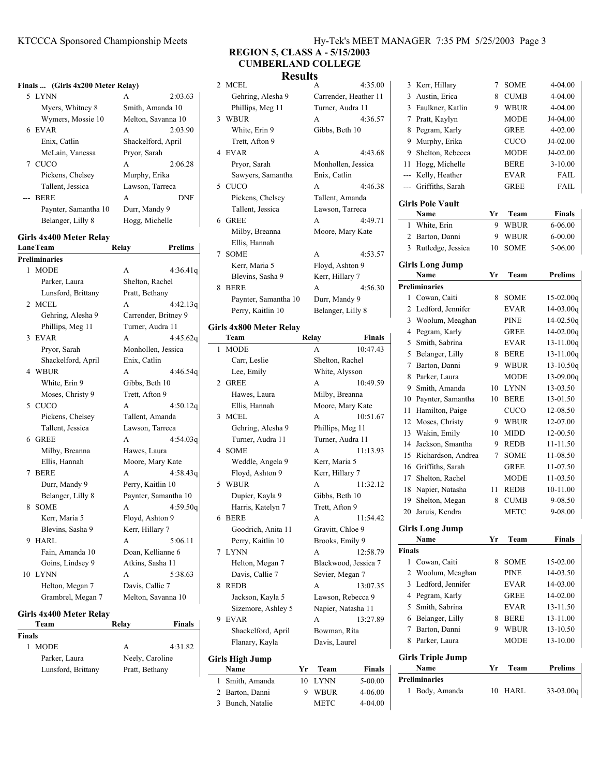#### KTCCCA Sponsored Championship Meets Hy-Tek's Meet Manager 7:35 PM 5/25/2003 Page 3/25/2004 Page 3/25/2003 Page 3/25/2003 Page 3/25/2003 Page 3/25/2003 Page 3/25/2003 Page 3/25/2003 Page 3/25/2003 Page 3/25/2003 Page 3/2003

#### **Finals ... (Girls 4x200 Meter Relay)**

| 5 LYNN               | А                  | 2:03.63    |
|----------------------|--------------------|------------|
| Myers, Whitney 8     | Smith, Amanda 10   |            |
| Wymers, Mossie 10    | Melton, Savanna 10 |            |
| 6 EVAR               | A                  | 2:03.90    |
| Enix, Catlin         | Shackelford, April |            |
| McLain, Vanessa      | Pryor, Sarah       |            |
| 7 CUCO               | A                  | 2:06.28    |
| Pickens, Chelsey     | Murphy, Erika      |            |
| Tallent, Jessica     | Lawson, Tarreca    |            |
| --- BERE             | A                  | <b>DNF</b> |
| Paynter, Samantha 10 | Durr, Mandy 9      |            |
| Belanger, Lilly 8    | Hogg, Michelle     |            |

#### **Girls 4x400 Meter Relay**

|   | <b>LaneTeam</b>      | Relay             | <b>Prelims</b>       |
|---|----------------------|-------------------|----------------------|
|   | <b>Preliminaries</b> |                   |                      |
|   | 1 MODE               | A                 | 4:36.41q             |
|   | Parker, Laura        | Shelton, Rachel   |                      |
|   | Lunsford, Brittany   | Pratt, Bethany    |                      |
|   | 2 MCEL               | A                 | 4:42.13q             |
|   | Gehring, Alesha 9    |                   | Carrender, Britney 9 |
|   | Phillips, Meg 11     |                   | Turner, Audra 11     |
| 3 | <b>EVAR</b>          | A                 | 4:45.62q             |
|   | Pryor, Sarah         |                   | Monhollen, Jessica   |
|   | Shackelford, April   | Enix, Catlin      |                      |
|   | 4 WBUR               | A                 | 4:46.54q             |
|   | White, Erin 9        | Gibbs, Beth 10    |                      |
|   | Moses, Christy 9     | Trett, Afton 9    |                      |
|   | 5 CUCO               | A                 | 4:50.12q             |
|   | Pickens, Chelsey     | Tallent, Amanda   |                      |
|   | Tallent, Jessica     | Lawson, Tarreca   |                      |
|   | 6 GREE               | A                 | 4:54.03q             |
|   | Milby, Breanna       | Hawes, Laura      |                      |
|   | Ellis, Hannah        |                   | Moore, Mary Kate     |
| 7 | <b>BERE</b>          | A                 | 4:58.43q             |
|   | Durr, Mandy 9        | Perry, Kaitlin 10 |                      |
|   | Belanger, Lilly 8    |                   | Paynter, Samantha 10 |
| 8 | <b>SOME</b>          | A                 | 4:59.50q             |
|   | Kerr, Maria 5        | Floyd, Ashton 9   |                      |
|   | Blevins, Sasha 9     | Kerr, Hillary 7   |                      |
| 9 | HARL                 | A                 | 5:06.11              |
|   | Fain, Amanda 10      |                   | Doan, Kellianne 6    |
|   | Goins, Lindsey 9     | Atkins, Sasha 11  |                      |
|   | 10 LYNN              | A                 | 5:38.63              |
|   | Helton, Megan 7      | Davis, Callie 7   |                      |
|   | Grambrel, Megan 7    |                   | Melton, Savanna 10   |
|   |                      |                   |                      |

## **Girls 4x400 Meter Relay**

| Relay           | <b>Finals</b> |
|-----------------|---------------|
|                 |               |
| A               | 4:31.82       |
| Neely, Caroline |               |
| Pratt, Bethany  |               |
|                 |               |

# **REGION 5, CLASS A - 5/15/2003**

# **CUMBERLAND COLLEGE**

#### **Results** 2 MCEL A 4:35.00

|   | Team                    | Relav             | Finals                |
|---|-------------------------|-------------------|-----------------------|
|   | Girls 4x800 Meter Relay |                   |                       |
|   | Perry, Kaitlin 10       | Belanger, Lilly 8 |                       |
|   | Paynter, Samantha 10    | Durr, Mandy 9     |                       |
| 8 | <b>BERE</b>             | A                 | 4:56.30               |
|   | Blevins, Sasha 9        | Kerr, Hillary 7   |                       |
|   | Kerr, Maria 5           | Floyd, Ashton 9   |                       |
|   | 7 SOME                  | A                 | 4:53.57               |
|   | Ellis, Hannah           |                   |                       |
|   | Milby, Breanna          |                   | Moore, Mary Kate      |
|   | 6 GREE                  | A                 | 4.4971                |
|   | Tallent, Jessica        | Lawson, Tarreca   |                       |
|   | Pickens, Chelsey        | Tallent, Amanda   |                       |
|   | 5 CUCO                  | A                 | 4:46.38               |
|   | Sawyers, Samantha       | Enix, Catlin      |                       |
|   | Pryor, Sarah            |                   | Monhollen, Jessica    |
|   | 4 EVAR                  | A                 | 4:43.68               |
|   | Trett, Afton 9          |                   |                       |
|   | White, Erin 9           | Gibbs, Beth 10    |                       |
|   | 3 WBUR                  | A                 | 4:36.57               |
|   | Phillips, Meg 11        | Turner, Audra 11  |                       |
|   | Gehring, Alesha 9       |                   | Carrender, Heather 11 |

| 1. | <b>MODE</b>            |    | A                  | 10:47.43             |
|----|------------------------|----|--------------------|----------------------|
|    | Carr, Leslie           |    | Shelton, Rachel    |                      |
|    | Lee, Emily             |    | White, Alysson     |                      |
| 2  | <b>GREE</b>            |    | A                  | 10:49.59             |
|    | Hawes, Laura           |    | Milby, Breanna     |                      |
|    | Ellis, Hannah          |    | Moore, Mary Kate   |                      |
| 3  | MCEL                   |    | A                  | 10:51.67             |
|    | Gehring, Alesha 9      |    | Phillips, Meg 11   |                      |
|    | Turner, Audra 11       |    | Turner, Audra 11   |                      |
| 4  | <b>SOME</b>            |    | A                  | 11:13.93             |
|    | Weddle, Angela 9       |    | Kerr, Maria 5      |                      |
|    | Floyd, Ashton 9        |    | Kerr, Hillary 7    |                      |
| 5  | WBUR                   |    | A                  | 11:32.12             |
|    | Dupier, Kayla 9        |    | Gibbs, Beth 10     |                      |
|    | Harris, Katelyn 7      |    | Trett, Afton 9     |                      |
| 6  | <b>BERE</b>            |    | A                  | 11:54.42             |
|    | Goodrich, Anita 11     |    | Gravitt, Chloe 9   |                      |
|    | Perry, Kaitlin 10      |    | Brooks, Emily 9    |                      |
|    | 7 LYNN                 |    | A                  | 12:58.79             |
|    | Helton, Megan 7        |    |                    | Blackwood, Jessica 7 |
|    | Davis, Callie 7        |    | Sevier, Megan 7    |                      |
| 8  | <b>REDB</b>            |    | A                  | 13:07.35             |
|    | Jackson, Kayla 5       |    | Lawson, Rebecca 9  |                      |
|    | Sizemore, Ashley 5     |    | Napier, Natasha 11 |                      |
| 9  | <b>EVAR</b>            |    | $\mathsf{A}$       | 13:27.89             |
|    | Shackelford, April     |    | Bowman, Rita       |                      |
|    | Flanary, Kayla         |    | Davis, Laurel      |                      |
|    | <b>Girls High Jump</b> |    |                    |                      |
|    | Name                   | Yr | Team               | <b>Finals</b>        |

| гуание           | . . | л саш   | т шаіз      |
|------------------|-----|---------|-------------|
| 1 Smith, Amanda  |     | 10 LYNN | 5-00.00     |
| 2 Barton, Danni  |     | 9 WBUR  | $4 - 06.00$ |
| 3 Bunch, Natalie |     | METC    | $4 - 04.00$ |

| r 11 |                |                         |    |             |                |
|------|----------------|-------------------------|----|-------------|----------------|
|      | 3              | Austin, Erica           | 8  | <b>CUMB</b> | 4-04.00        |
|      | 3              | Faulkner, Katlin        | 9  | <b>WBUR</b> | 4-04.00        |
| 5.57 | $\overline{7}$ | Pratt, Kaylyn           |    | <b>MODE</b> | J4-04.00       |
|      | 8              | Pegram, Karly           |    | <b>GREE</b> | $4 - 02.00$    |
|      | 9              | Murphy, Erika           |    | <b>CUCO</b> | J4-02.00       |
| 3.68 | 9              | Shelton, Rebecca        |    | <b>MODE</b> | J4-02.00       |
| ì    | 11             | Hogg, Michelle          |    | <b>BERE</b> | $3-10.00$      |
|      | ---            | Kelly, Heather          |    | <b>EVAR</b> | <b>FAIL</b>    |
| 5.38 |                | Griffiths, Sarah        |    | <b>GREE</b> | <b>FAIL</b>    |
|      |                | <b>Girls Pole Vault</b> |    |             |                |
| 9.71 |                | Name                    | Yr | Team        | <b>Finals</b>  |
|      | 1.             | White, Erin             | 9  | <b>WBUR</b> | $6 - 06.00$    |
|      | 2              | Barton, Danni           | 9  | <b>WBUR</b> | $6 - 00.00$    |
| 3.57 | 3              | Rutledge, Jessica       | 10 | <b>SOME</b> | 5-06.00        |
|      |                | <b>Girls Long Jump</b>  |    |             |                |
|      |                | Name                    | Yr | Team        | <b>Prelims</b> |
|      |                | <b>Preliminaries</b>    |    |             |                |
| 5.30 |                |                         |    |             |                |
|      | 1              | Cowan, Caiti            | 8  | <b>SOME</b> | $15-02.00q$    |
|      | 2              | Ledford, Jennifer       |    | <b>EVAR</b> | $14 - 03.00q$  |
|      | 3              | Woolum, Meaghan         |    | <b>PINE</b> | $14 - 02.50q$  |
|      | 4              | Pegram, Karly           |    | <b>GREE</b> | 14-02.00q      |
| nals | 5              | Smith, Sabrina          |    | <b>EVAR</b> | $13 - 11.00q$  |
| 7.43 | 5              | Belanger, Lilly         | 8  | <b>BERE</b> | 13-11.00q      |
|      | 7              | Barton, Danni           | 9  | <b>WBUR</b> | $13 - 10.50q$  |
|      | 8              | Parker, Laura           |    | <b>MODE</b> | 13-09.00q      |
| 9.59 | 9              | Smith, Amanda           | 10 | <b>LYNN</b> | 13-03.50       |
|      | 10             | Paynter, Samantha       | 10 | <b>BERE</b> | 13-01.50       |
|      | 11             | Hamilton, Paige         |    | <b>CUCO</b> | 12-08.50       |
| 1.67 | 12             | Moses, Christy          | 9  | <b>WBUR</b> | 12-07.00       |
|      | 13             | Wakin, Emily            | 10 | <b>MIDD</b> | 12-00.50       |
|      | 14             | Jackson, Smantha        | 9  | <b>REDB</b> | 11-11.50       |
| 3.93 | 15             | Richardson, Andrea      | 7  | <b>SOME</b> | 11-08.50       |

3 Kerr, Hillary 7 SOME 4-04.00

## 19 Shelton, Megan 8 CUMB 9-08.50 20 9-08.00 Jaruis, Kendra METC **Girls Long Jump Name Yr Team Finals Finals** 1 Cowan, Caiti 8 SOME 15-02.00 2 Woolum, Meaghan PINE 14-03.50 3 Ledford, Jennifer EVAR 14-03.00 4 Pegram, Karly GREE 14-02.00 5 Smith, Sabrina EVAR 13-11.50 6 13-11.00 Belanger, Lilly 8 BERE 7 Barton, Danni 9 WBUR 13-10.50 8 Parker, Laura MODE 13-10.00 **Girls Triple Jump Name Team Prelims Yr Preliminaries** 1 Body, Amanda 10 HARL 33-03.00q

17 Shelton, Rachel MODE 11-03.50 18 10-11.00 Napier, Natasha 11 REDB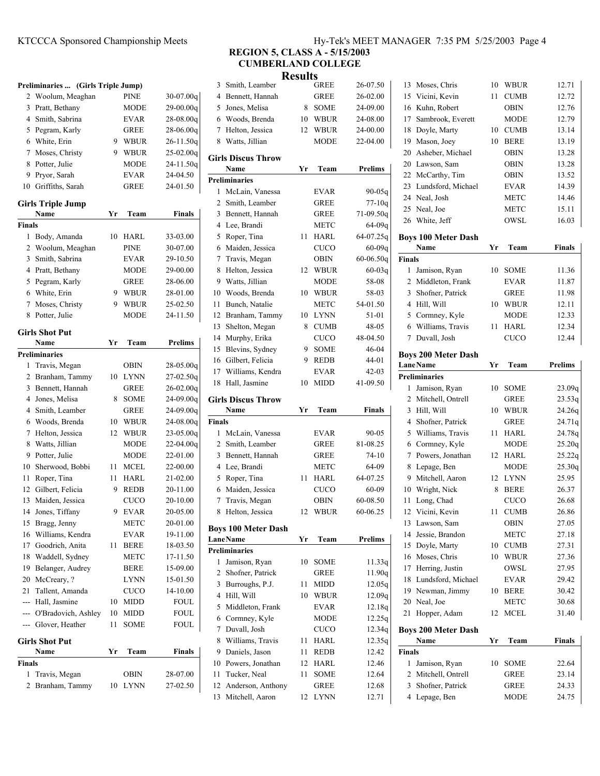# KTCCCA Sponsored Championship Meets Hy-Tek's MEET MANAGER 7:35 PM 5/25/2003 Page 4

## **Preliminaries ... (Girls Triple Jump)** 2 Woolum, Meaghan PINE 30-07.00q 3 Pratt, Bethany MODE 29-00.00q 4 Smith, Sabrina EVAR 28-08.00q 5 Pegram, Karly GREE 28-06.00q 6 26-11.50q White, Erin 9 WBUR 7 Moses, Christy 9 WBUR 25-02.00q 8 Potter, Julie MODE 24-11.50q 9 24-04.50 Pryor, Sarah EVAR 10 24-01.50 Griffiths, Sarah GREE **Girls Triple Jump Name Yr Team Finals Finals** 1 Body, Amanda 10 HARL 33-03.00 2 Woolum, Meaghan PINE 30-07.00 3 29-10.50 Smith, Sabrina EVAR 4 Pratt, Bethany MODE 29-00.00 5 28-06.00 Pegram, Karly GREE 6 28-01.00 White, Erin 9 WBUR 7 Moses, Christy 9 WBUR 25-02.50 8 24-11.50 Potter, Julie MODE **Girls Shot Put Name Yr Team Prelims Preliminaries** 1 Travis, Megan OBIN 28-05.00q 2 Branham, Tammy 10 LYNN 27-02.50q 3 Bennett, Hannah GREE 26-02.00q 4 Jones, Melisa 8 SOME 24-09.00q 4 Smith, Leamber GREE 24-09.00q 6 24-08.00q Woods, Brenda 10 WBUR 7 Helton, Jessica 12 WBUR 23-05.00q 8 Watts, Jillian MODE 22-04.00q 9 22-01.00 Potter, Julie MODE 10 22-00.00 Sherwood, Bobbi 11 MCEL 11 Roper, Tina 11 HARL 21-02.00 12 Gilbert, Felicia 9 REDB 20-11.00 13 Maiden, Jessica CUCO 20-10.00 14 Jones, Tiffany 9 EVAR 20-05.00 15 Bragg, Jenny METC 20-01.00 16 Williams, Kendra EVAR 19-11.00 17 Goodrich, Anita 11 BERE 18-03.50 18 Waddell, Sydney METC 17-11.50

19 Belanger, Audrey BERE 15-09.00 20 McCreary, ? LYNN 15-01.50 21 Tallent, Amanda CUCO 14-10.00 --- Hall, Jasmine 10 MIDD FOUL --- O'Bradovich, Ashley 10 MIDD FOUL --- Glover, Heather 11 SOME FOUL

**Name Yr Team Finals** 

1 28-07.00 Travis, Megan OBIN 2 Branham, Tammy 10 LYNN 27-02.50

**Girls Shot Put**

**Finals**

| $\Pi$ v-tek s MEET MANAUER $\pi$ .   |  |
|--------------------------------------|--|
| <b>REGION 5. CLASS A - 5/15/2003</b> |  |

**CUMBERLAND COLLEGE**

**Results**

|               |                            | <b>IZC20112</b> |             |               |               |                            |    |             |                |
|---------------|----------------------------|-----------------|-------------|---------------|---------------|----------------------------|----|-------------|----------------|
|               | 3 Smith, Leamber           |                 | <b>GREE</b> | 26-07.50      |               | 13 Moses, Chris            |    | 10 WBUR     | 12.71          |
|               | 4 Bennett, Hannah          |                 | <b>GREE</b> | 26-02.00      | 15            | Vicini, Kevin              | 11 | <b>CUMB</b> | 12.72          |
| 5             | Jones, Melisa              | 8               | <b>SOME</b> | 24-09.00      | 16            | Kuhn, Robert               |    | <b>OBIN</b> | 12.76          |
|               | 6 Woods, Brenda            | 10              | WBUR        | 24-08.00      | 17            | Sambrook, Everett          |    | MODE        | 12.79          |
|               | 7 Helton, Jessica          | 12              | WBUR        | 24-00.00      | 18            | Doyle, Marty               |    | 10 CUMB     | 13.14          |
| 8             | Watts, Jillian             |                 | <b>MODE</b> | 22-04.00      | 19            | Mason, Joey                |    | 10 BERE     | 13.19          |
|               | <b>Girls Discus Throw</b>  |                 |             |               | 20            | Asheber, Michael           |    | OBIN        | 13.28          |
|               | Name                       | Yr              | Team        | Prelims       | 20            | Lawson, Sam                |    | <b>OBIN</b> | 13.28          |
|               | <b>Preliminaries</b>       |                 |             |               |               | 22 McCarthy, Tim           |    | OBIN        | 13.52          |
|               | 1 McLain, Vanessa          |                 | <b>EVAR</b> | 90-05q        |               | 23 Lundsford, Michael      |    | EVAR        | 14.39          |
|               | 2 Smith, Leamber           |                 | <b>GREE</b> | $77-10q$      |               | 24 Neal, Josh              |    | METC        | 14.46          |
|               | 3 Bennett, Hannah          |                 | <b>GREE</b> | 71-09.50q     |               | 25 Neal, Joe               |    | METC        | 15.11          |
|               | 4 Lee, Brandi              |                 | <b>METC</b> | 64-09g        |               | 26 White, Jeff             |    | OWSL        | 16.03          |
|               | 5 Roper, Tina              |                 | 11 HARL     | 64-07.25q     |               | <b>Boys 100 Meter Dash</b> |    |             |                |
|               | 6 Maiden, Jessica          |                 | <b>CUCO</b> | $60 - 09q$    |               | Name                       | Yr | Team        | <b>Finals</b>  |
|               | 7 Travis, Megan            |                 | <b>OBIN</b> | $60 - 06.50q$ | <b>Finals</b> |                            |    |             |                |
|               | 8 Helton, Jessica          |                 | 12 WBUR     | $60 - 03q$    |               | 1 Jamison, Ryan            |    | 10 SOME     | 11.36          |
| 9             | Watts, Jillian             |                 | <b>MODE</b> | 58-08         |               | 2 Middleton, Frank         |    | <b>EVAR</b> | 11.87          |
| 10            | Woods, Brenda              | 10              | WBUR        | 58-03         | 3             | Shofner, Patrick           |    | <b>GREE</b> | 11.98          |
|               | 11 Bunch, Natalie          |                 | <b>METC</b> | 54-01.50      |               | 4 Hill, Will               |    | 10 WBUR     | 12.11          |
| 12            | Branham, Tammy             | 10              | <b>LYNN</b> | 51-01         | 5             | Cormney, Kyle              |    | MODE        | 12.33          |
| 13            | Shelton, Megan             | 8               | <b>CUMB</b> | 48-05         | 6             | Williams, Travis           |    | 11 HARL     | 12.34          |
|               | 14 Murphy, Erika           |                 | <b>CUCO</b> | 48-04.50      |               | 7 Duvall, Josh             |    | CUCO        | 12.44          |
| 15            | Blevins, Sydney            | 9               | <b>SOME</b> | 46-04         |               |                            |    |             |                |
|               | 16 Gilbert, Felicia        | 9               | REDB        | 44-01         |               | <b>Boys 200 Meter Dash</b> |    |             |                |
| 17            | Williams, Kendra           |                 | <b>EVAR</b> | $42 - 03$     |               | <b>LaneName</b>            | Yr | Team        | <b>Prelims</b> |
|               | 18 Hall, Jasmine           | 10              | <b>MIDD</b> | 41-09.50      |               | <b>Preliminaries</b>       |    |             |                |
|               |                            |                 |             |               |               | 1 Jamison, Ryan            |    | 10 SOME     | 23.09q         |
|               | <b>Girls Discus Throw</b>  |                 |             |               | 2             | Mitchell, Ontrell          |    | <b>GREE</b> | 23.53q         |
|               | Name                       | Yr              | Team        | Finals        | 3             | Hill, Will                 |    | 10 WBUR     | 24.26q         |
| <b>Finals</b> |                            |                 |             |               | 4             | Shofner, Patrick           |    | <b>GREE</b> | 24.71q         |
|               | 1 McLain, Vanessa          |                 | <b>EVAR</b> | 90-05         | 5             | Williams, Travis           | 11 | HARL        | 24.78q         |
|               | 2 Smith, Leamber           |                 | <b>GREE</b> | 81-08.25      | 6             | Cormney, Kyle              |    | MODE        | 25.20q         |
|               | 3 Bennett, Hannah          |                 | <b>GREE</b> | 74-10         |               | 7 Powers, Jonathan         |    | 12 HARL     | 25.22q         |
|               | 4 Lee, Brandi              |                 | <b>METC</b> | 64-09         | 8             | Lepage, Ben                |    | <b>MODE</b> | 25.30q         |
|               | 5 Roper, Tina              | 11              | HARL        | 64-07.25      | 9             | Mitchell, Aaron            |    | 12 LYNN     | 25.95          |
|               | 6 Maiden, Jessica          |                 | CUCO        | 60-09         | 10            | Wright, Nick               | 8  | BERE        | 26.37          |
| 7             | Travis, Megan              |                 | <b>OBIN</b> | 60-08.50      | 11            | Long, Chad                 |    | CUCO        | 26.68          |
|               | 8 Helton, Jessica          | 12              | WBUR        | 60-06.25      |               | 12 Vicini, Kevin           | 11 | <b>CUMB</b> | 26.86          |
|               | <b>Boys 100 Meter Dash</b> |                 |             |               |               | 13 Lawson, Sam             |    | <b>OBIN</b> | 27.05          |
|               | <b>LaneName</b>            | Yr              | Team        | Prelims       | 14            | Jessie, Brandon            |    | <b>METC</b> | 27.18          |
|               | Preliminaries              |                 |             |               |               | 15 Doyle, Marty            |    | 10 CUMB     | 27.31          |
|               | 1 Jamison, Ryan            | 10              | <b>SOME</b> | 11.33 $q$     | 16            | Moses, Chris               |    | 10 WBUR     | 27.36          |
|               | 2 Shofner, Patrick         |                 | <b>GREE</b> | 11.90q        | 17            | Herring, Justin            |    | OWSL        | 27.95          |
|               | 3 Burroughs, P.J.          | 11              | MIDD        | 12.05q        |               | 18 Lundsford, Michael      |    | <b>EVAR</b> | 29.42          |
|               | 4 Hill, Will               |                 | 10 WBUR     | 12.09q        |               | 19 Newman, Jimmy           |    | 10 BERE     | 30.42          |
|               | 5 Middleton, Frank         |                 | <b>EVAR</b> | 12.18q        |               | 20 Neal, Joe               |    | <b>METC</b> | 30.68          |
|               | 6 Cormney, Kyle            |                 | <b>MODE</b> | 12.25q        |               | 21 Hopper, Adam            |    | 12 MCEL     | 31.40          |
|               | 7 Duvall, Josh             |                 | <b>CUCO</b> | 12.34q        |               | <b>Boys 200 Meter Dash</b> |    |             |                |
|               | 8 Williams, Travis         |                 | 11 HARL     | 12.35q        |               | Name                       | Yr | Team        | Finals         |
|               | 9 Daniels, Jason           | 11              | <b>REDB</b> | 12.42         | <b>Finals</b> |                            |    |             |                |
|               | 10 Powers, Jonathan        |                 | 12 HARL     | 12.46         |               | 1 Jamison, Ryan            | 10 | <b>SOME</b> | 22.64          |
| 11            | Tucker, Neal               | 11              | SOME        | 12.64         | $\mathbf{2}$  | Mitchell, Ontrell          |    | <b>GREE</b> | 23.14          |
|               | 12 Anderson, Anthony       |                 | GREE        | 12.68         | 3             | Shofner, Patrick           |    | <b>GREE</b> | 24.33          |
|               | 13 Mitchell, Aaron         |                 | 12 LYNN     | 12.71         |               | 4 Lepage, Ben              |    | MODE        | 24.75          |
|               |                            |                 |             |               |               |                            |    |             |                |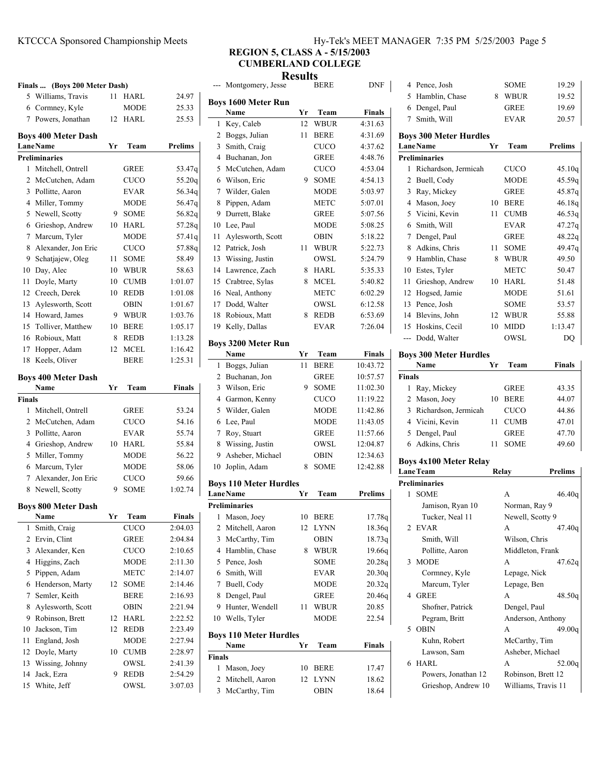# KTCCCA Sponsored Championship Meets H

| Iy-Tek's MEET MANAGER 7:35 PM 5/25/2003 Page 5 |  |  |  |
|------------------------------------------------|--|--|--|
|------------------------------------------------|--|--|--|

# **REGION 5, CLASS A - 5/15/2003 CUMBERLAND COLLEGE**

**Results**

|               | Finals  (Boys 200 Meter Dash)                 |         |                            |                    |
|---------------|-----------------------------------------------|---------|----------------------------|--------------------|
|               | 5 Williams, Travis                            | 11      | HARL                       | 24.97              |
| 6             | Cormney, Kyle                                 |         | <b>MODE</b>                | 25.33              |
| 7             | Powers, Jonathan                              | 12      | HARL                       | 25.53              |
|               |                                               |         |                            |                    |
|               | <b>Boys 400 Meter Dash</b><br><b>LaneName</b> | Yr      | Team                       | <b>Prelims</b>     |
|               | <b>Preliminaries</b>                          |         |                            |                    |
| 1             | Mitchell, Ontrell                             |         | <b>GREE</b>                | 53.47q             |
| 2             | McCutchen, Adam                               |         | <b>CUCO</b>                | 55.20q             |
| 3             | Pollitte, Aaron                               |         | <b>EVAR</b>                | 56.34q             |
| 4             | Miller, Tommy                                 |         | <b>MODE</b>                | 56.47q             |
|               | Newell, Scotty                                |         |                            | 56.82g             |
| 5<br>6        |                                               | 9<br>10 | <b>SOME</b><br><b>HARL</b> | 57.28q             |
|               | Grieshop, Andrew                              |         |                            |                    |
| 7             | Marcum, Tyler                                 |         | <b>MODE</b>                | 57.41q             |
| 8             | Alexander, Jon Eric                           |         | <b>CUCO</b>                | 57.88q             |
| 9.            | Schatjajew, Oleg                              | 11      | <b>SOME</b>                | 58.49              |
| 10            | Day, Alec                                     | 10      | <b>WBUR</b>                | 58.63              |
| 11            | Doyle, Marty                                  | 10      | <b>CUMB</b>                | 1:01.07            |
|               | 12 Creech, Derek                              | 10      | <b>REDB</b>                | 1:01.08            |
| 13            | Aylesworth, Scott                             |         | <b>OBIN</b>                | 1:01.67            |
| 14            | Howard, James                                 | 9       | <b>WBUR</b>                | 1:03.76            |
| 15            | Tolliver, Matthew                             | 10      | <b>BERE</b>                | 1:05.17            |
| 16            | Robioux, Matt                                 | 8       | <b>REDB</b>                | 1:13.28            |
| 17            | Hopper, Adam                                  | 12      | <b>MCEL</b>                | 1:16.42            |
| 18            | Keels, Oliver                                 |         | <b>BERE</b>                | 1:25.31            |
|               | <b>Boys 400 Meter Dash</b>                    |         |                            |                    |
|               | Name                                          | Yr      | Team                       | Finals             |
| <b>Finals</b> |                                               |         |                            |                    |
| 1             | Mitchell, Ontrell                             |         | GREE                       | 53.24              |
| 2             | McCutchen, Adam                               |         | <b>CUCO</b>                | 54.16              |
| 3             | Pollitte, Aaron                               |         | <b>EVAR</b>                | 55.74              |
|               | 4 Grieshop, Andrew                            | 10      | HARL                       | 55.84              |
| 5             | Miller, Tommy                                 |         | <b>MODE</b>                | 56.22              |
| 6             | Marcum, Tyler                                 |         | <b>MODE</b>                | 58.06              |
| 7             | Alexander, Jon Eric                           |         | CUCO                       | 59.66              |
| 8             | Newell, Scotty                                | 9       | SOME                       | 1:02.74            |
|               |                                               |         |                            |                    |
|               | <b>Boys 800 Meter Dash</b>                    |         |                            |                    |
|               | Name                                          | Yr      | Team                       | Finals             |
| 1             | Smith, Craig                                  |         | <b>CUCO</b>                | 2:04.03            |
| 2             | Ervin, Clint                                  |         | GREE                       | 2:04.84            |
| 3             | Alexander, Ken                                |         | CUCO                       | 2:10.65            |
| 4             | Higgins, Zach                                 |         | MODE                       | 2:11.30            |
| 5             | Pippen, Adam                                  |         | METC                       | 2:14.07            |
| 6             | Henderson, Marty                              | 12      | SOME                       | 2:14.46            |
|               |                                               |         |                            |                    |
| 7             | Semler, Keith                                 |         | BERE                       | 2:16.93            |
| 8             | Aylesworth, Scott                             |         | OBIN                       | 2:21.94            |
| 9             | Robinson, Brett                               | 12      | HARL                       | 2:22.52            |
| 10            | Jackson, Tim                                  | 12      | <b>REDB</b>                | 2:23.49            |
| 11            | England, Josh                                 |         | MODE                       | 2:27.94            |
| 12            | Doyle, Marty                                  | 10      | <b>CUMB</b>                | 2:28.97            |
| 13            | Wissing, Johnny                               |         | OWSL                       | 2:41.39            |
| 14<br>15      | Jack, Ezra<br>White, Jeff                     | 9       | REDB<br>OWSL               | 2:54.29<br>3:07.03 |

|        | --- Montgomery, Jesse                            |    | <b>BERE</b> | DNF            |
|--------|--------------------------------------------------|----|-------------|----------------|
|        | <b>Boys 1600 Meter Run</b>                       |    |             |                |
|        | Name                                             | Yr | Team        | <b>Finals</b>  |
| 1      | Key, Caleb                                       | 12 | <b>WBUR</b> | 4:31.63        |
| 2      | Boggs, Julian                                    | 11 | <b>BERE</b> | 4:31.69        |
| 3      | Smith, Craig                                     |    | <b>CUCO</b> | 4:37.62        |
| 4      | Buchanan, Jon                                    |    | GREE        | 4:48.76        |
| 5      | McCutchen, Adam                                  |    | CUCO        | 4:53.04        |
| 6      | Wilson, Eric                                     | 9  | <b>SOME</b> | 4:54.13        |
| 7      | Wilder, Galen                                    |    | <b>MODE</b> | 5:03.97        |
| 8      | Pippen, Adam                                     |    | METC        | 5:07.01        |
| 9      | Durrett, Blake                                   |    | <b>GREE</b> | 5:07.56        |
| 10     | Lee, Paul                                        |    | MODE        | 5:08.25        |
| 11     | Aylesworth, Scott                                |    | OBIN        | 5:18.22        |
| 12     | Patrick, Josh                                    | 11 | WBUR        | 5:22.73        |
| 13     | Wissing, Justin                                  |    | OWSL        | 5:24.79        |
| 14     | Lawrence, Zach                                   | 8  | HARL        | 5:35.33        |
| 15     | Crabtree, Sylas                                  | 8  | MCEL        | 5:40.82        |
| 16     | Neal, Anthony                                    |    | METC        | 6:02.29        |
| 17     | Dodd, Walter                                     |    | OWSL        | 6:12.58        |
| 18     | Robioux, Matt                                    | 8  | REDB        | 6:53.69        |
| 19     | Kelly, Dallas                                    |    | <b>EVAR</b> | 7:26.04        |
|        | <b>Boys 3200 Meter Run</b>                       |    |             |                |
|        | Name                                             | Yr | Team        | <b>Finals</b>  |
| 1      | Boggs, Julian                                    | 11 | <b>BERE</b> | 10:43.72       |
| 2      | Buchanan, Jon                                    |    | GREE        | 10:57.57       |
| 3      | Wilson, Eric                                     | 9  | <b>SOME</b> | 11:02.30       |
| 4      | Garmon, Kenny                                    |    | CUCO        | 11:19.22       |
| 5      | Wilder, Galen                                    |    | MODE        | 11:42.86       |
| 6      | Lee, Paul                                        |    | MODE        | 11:43.05       |
| 7      | Roy, Stuart                                      |    | GREE        | 11:57.66       |
| 8      | Wissing, Justin                                  |    | OWSL        | 12:04.87       |
| 9      | Asheber, Michael                                 |    | OBIN        | 12:34.63       |
| 10     | Joplin, Adam                                     | 8  | <b>SOME</b> | 12:42.88       |
|        |                                                  |    |             |                |
|        | <b>Boys 110 Meter Hurdles</b><br><b>LaneName</b> | Yr | Team        | <b>Prelims</b> |
|        | <b>Preliminaries</b>                             |    |             |                |
| 1      | Mason, Joey                                      | 10 | <b>BERE</b> | 17.78q         |
| 2      | Mitchell, Aaron                                  | 12 | LYNN        | 18.36q         |
| 3      | McCarthy, Tim                                    |    | OBIN        | 18.73q         |
| 4      | Hamblin, Chase                                   | 8  | <b>WBUR</b> | 19.66q         |
| 5      | Pence, Josh                                      |    | SOME        | 20.28q         |
| 6      | Smith, Will                                      |    | <b>EVAR</b> | 20.30q         |
| 7      | Buell, Cody                                      |    | MODE        | 20.32q         |
| 8      | Dengel, Paul                                     |    | <b>GREE</b> | 20.46q         |
| 9      | Hunter, Wendell                                  | 11 | <b>WBUR</b> | 20.85          |
| 10     | Wells, Tyler                                     |    | MODE        | 22.54          |
|        |                                                  |    |             |                |
|        | <b>Boys 110 Meter Hurdles</b>                    | Yr |             | Finals         |
| Finals | Name                                             |    | Team        |                |
| 1      | Mason, Joey                                      | 10 | BERE        | 17.47          |
| 2      | Mitchell, Aaron                                  | 12 | LYNN        | 18.62          |
| 3      | McCarthy, Tim                                    |    | OBIN        | 18.64          |
|        |                                                  |    |             |                |

| 4             | Pence, Josh                   |    | SOME               | 19.29               |
|---------------|-------------------------------|----|--------------------|---------------------|
|               | 5 Hamblin, Chase              | 8  | WBUR               | 19.52               |
|               | 6 Dengel, Paul                |    | <b>GREE</b>        | 19.69               |
| $\tau$        | Smith, Will                   |    | <b>EVAR</b>        | 20.57               |
|               | <b>Boys 300 Meter Hurdles</b> |    |                    |                     |
|               | <b>LaneName</b>               | Yr | Team               | <b>Prelims</b>      |
|               | <b>Preliminaries</b>          |    |                    |                     |
| 1             | Richardson, Jermicah          |    | CUCO               | 45.10q              |
| 2             | Buell, Cody                   |    | <b>MODE</b>        | 45.59g              |
| 3             | Ray, Mickey                   |    | <b>GREE</b>        | 45.87q              |
|               | 4 Mason, Joey                 | 10 | <b>BERE</b>        | 46.18q              |
|               | 5 Vicini, Kevin               | 11 | <b>CUMB</b>        | 46.53g              |
| 6             | Smith, Will                   |    | <b>EVAR</b>        | 47.27q              |
|               | 7 Dengel, Paul                |    | <b>GREE</b>        | 48.22q              |
| 8             | Adkins, Chris                 | 11 | <b>SOME</b>        | 49.47q              |
| 9             | Hamblin, Chase                | 8  | WBUR               | 49.50               |
| 10            | Estes, Tyler                  |    | METC               | 50.47               |
| 11            | Grieshop, Andrew              | 10 | HARL               | 51.48               |
|               | 12 Hogsed, Jamie              |    | <b>MODE</b>        | 51.61               |
|               | 13 Pence, Josh                |    | SOME               | 53.57               |
| 14            | Blevins, John                 | 12 | <b>WBUR</b>        | 55.88               |
| 15            | Hoskins, Cecil                | 10 | <b>MIDD</b>        | 1:13.47             |
|               | --- Dodd, Walter              |    | OWSL               | DQ                  |
|               | <b>Boys 300 Meter Hurdles</b> |    |                    |                     |
|               | Name                          | Yr | Team               | <b>Finals</b>       |
| <b>Finals</b> |                               |    |                    |                     |
| 1             | Ray, Mickey                   |    | <b>GREE</b>        | 43.35               |
|               | 2 Mason, Joey                 | 10 | <b>BERE</b>        | 44.07               |
|               | 3 Richardson, Jermicah        |    | <b>CUCO</b>        | 44.86               |
|               | 4 Vicini, Kevin               | 11 | <b>CUMB</b>        | 47.01               |
| 5             | Dengel, Paul                  |    | <b>GREE</b>        | 47.70               |
|               | 6 Adkins, Chris               | 11 | <b>SOME</b>        | 49.60               |
|               | <b>Boys 4x100 Meter Relay</b> |    |                    |                     |
|               | <b>LaneTeam</b>               |    | Relay              | <b>Prelims</b>      |
|               | <b>Preliminaries</b>          |    |                    |                     |
| 1             | <b>SOME</b>                   |    | А                  | 46.40q              |
|               | Jamison, Ryan 10              |    | Norman, Ray 9      |                     |
|               | Tucker, Neal 11               |    | Newell, Scotty 9   |                     |
| 2             | EVAR                          |    | A                  | 47.40q              |
|               | Smith, Will                   |    | Wilson, Chris      |                     |
|               | Pollitte, Aaron               |    | Middleton, Frank   |                     |
| 3             | <b>MODE</b>                   |    | А                  | 47.62q              |
|               | Cormney, Kyle                 |    | Lepage, Nick       |                     |
|               | Marcum, Tyler                 |    | Lepage, Ben        |                     |
| 4             | <b>GREE</b>                   |    | А                  | 48.50g              |
|               | Shofner, Patrick              |    | Dengel, Paul       |                     |
|               | Pegram, Britt                 |    |                    | Anderson, Anthony   |
| 5             | <b>OBIN</b>                   |    | A                  | 49.00q              |
|               | Kuhn, Robert                  |    | McCarthy, Tim      |                     |
|               | Lawson, Sam                   |    | Asheber, Michael   |                     |
| 6             | HARL                          |    |                    |                     |
|               |                               |    | А                  | 52.00q              |
|               | Powers, Jonathan 12           |    | Robinson, Brett 12 |                     |
|               | Grieshop, Andrew 10           |    |                    | Williams, Travis 11 |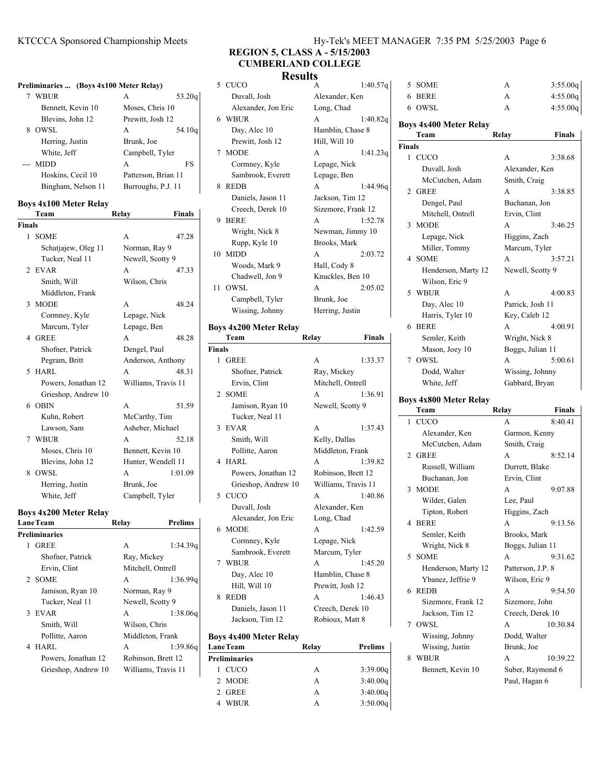|               | Preliminaries  (Boys 4x100 Meter Relay) |                     |                     |
|---------------|-----------------------------------------|---------------------|---------------------|
|               | 7 WBUR                                  | A                   | 53.20q              |
|               | Bennett, Kevin 10                       | Moses, Chris 10     |                     |
|               | Blevins, John 12                        | Prewitt, Josh 12    |                     |
| 8             | OWSL                                    | A                   | 54.10q              |
|               | Herring, Justin                         | Brunk, Joe          |                     |
|               | White, Jeff                             | Campbell, Tyler     |                     |
| $---$         | <b>MIDD</b>                             | A                   | FS                  |
|               | Hoskins, Cecil 10                       | Patterson, Brian 11 |                     |
|               | Bingham, Nelson 11                      | Burroughs, P.J. 11  |                     |
|               | <b>Boys 4x100 Meter Relay</b>           |                     |                     |
|               | Team                                    | Relay               | <b>Finals</b>       |
| <b>Finals</b> |                                         |                     |                     |
| 1             | <b>SOME</b>                             | A                   | 47.28               |
|               | Schatjajew, Oleg 11                     | Norman, Ray 9       |                     |
|               | Tucker, Neal 11                         | Newell, Scotty 9    |                     |
|               | 2 EVAR                                  | A                   | 47.33               |
|               | Smith, Will                             | Wilson, Chris       |                     |
|               | Middleton, Frank                        |                     |                     |
| 3             | <b>MODE</b>                             | A                   | 48.24               |
|               | Cormney, Kyle                           | Lepage, Nick        |                     |
|               | Marcum, Tyler                           | Lepage, Ben         |                     |
|               | 4 GREE                                  | A                   | 48.28               |
|               | Shofner, Patrick                        | Dengel, Paul        |                     |
|               | Pegram, Britt                           |                     | Anderson, Anthony   |
| 5             | <b>HARL</b>                             | A                   | 48.31               |
|               | Powers, Jonathan 12                     |                     | Williams, Travis 11 |
|               | Grieshop, Andrew 10                     |                     |                     |
|               | 6 OBIN                                  | A                   | 51.59               |
|               | Kuhn, Robert                            | McCarthy, Tim       |                     |
|               | Lawson, Sam                             | Asheber, Michael    |                     |
| 7             | <b>WBUR</b>                             | A                   | 52.18               |
|               | Moses, Chris 10                         | Bennett, Kevin 10   |                     |
|               | Blevins, John 12                        |                     | Hunter, Wendell 11  |
| 8             | OWSL                                    | A                   | 1:01.09             |
|               | Herring, Justin                         | Brunk, Joe          |                     |
|               | White, Jeff                             | Campbell, Tyler     |                     |

### **Boys 4x200 Meter Relay**

| <b>LaneTeam</b>     |                      | Relay              | Prelims             |
|---------------------|----------------------|--------------------|---------------------|
|                     | <b>Preliminaries</b> |                    |                     |
| 1                   | GREE                 | A                  | 1:34.39q            |
|                     | Shofner, Patrick     | Ray, Mickey        |                     |
|                     | Ervin, Clint         | Mitchell, Ontrell  |                     |
|                     | 2 SOME               | A                  | 1:36.99q            |
|                     | Jamison, Ryan 10     | Norman, Ray 9      |                     |
|                     | Tucker, Neal 11      | Newell, Scotty 9   |                     |
|                     | 3 EVAR               | A                  | 1:38.06q            |
|                     | Smith, Will          | Wilson, Chris      |                     |
|                     | Pollitte, Aaron      | Middleton, Frank   |                     |
|                     | 4 HARL               | A                  | 1:39.86g            |
| Powers, Jonathan 12 |                      | Robinson, Brett 12 |                     |
|                     | Grieshop, Andrew 10  |                    | Williams, Travis 11 |

## KTCCCA Sponsored Championship Meets Hy-Tek's MEET MANAGER 7:35 PM 5/25/2003 Page 6

**REGION 5, CLASS A - 5/15/2003 CUMBERLAND COLLEGE**

# **Results**

|                               | 5 CUCO                        | А                   | 1:40.57q |               | 5 SOME                        | A                 | 3:55.00q      |
|-------------------------------|-------------------------------|---------------------|----------|---------------|-------------------------------|-------------------|---------------|
|                               | Duvall, Josh                  | Alexander, Ken      |          |               | 6 BERE                        | A                 | 4:55.00q      |
|                               | Alexander, Jon Eric           | Long, Chad          |          |               | 6 OWSL                        | A                 | 4:55.00q      |
|                               | 6 WBUR                        | A                   | 1:40.82q |               |                               |                   |               |
|                               | Day, Alec 10                  | Hamblin, Chase 8    |          |               | <b>Boys 4x400 Meter Relay</b> |                   |               |
|                               | Prewitt, Josh 12              | Hill, Will 10       |          |               | Team                          | Relay             | <b>Finals</b> |
|                               | 7 MODE                        | A                   |          | <b>Finals</b> |                               |                   |               |
|                               |                               |                     | 1:41.23q |               | 1 CUCO                        | A                 | 3:38.68       |
|                               | Cormney, Kyle                 | Lepage, Nick        |          |               | Duvall, Josh                  | Alexander, Ken    |               |
|                               | Sambrook, Everett             | Lepage, Ben         |          |               | McCutchen, Adam               | Smith, Craig      |               |
|                               | 8 REDB                        | A                   | 1:44.96q |               | 2 GREE                        | A                 | 3:38.85       |
|                               | Daniels, Jason 11             | Jackson, Tim 12     |          |               | Dengel, Paul                  | Buchanan, Jon     |               |
|                               | Creech, Derek 10              | Sizemore, Frank 12  |          |               | Mitchell, Ontrell             | Ervin, Clint      |               |
|                               | 9 BERE                        | A                   | 1:52.78  |               | 3 MODE                        | A                 | 3:46.25       |
|                               | Wright, Nick 8                | Newman, Jimmy 10    |          |               | Lepage, Nick                  | Higgins, Zach     |               |
|                               | Rupp, Kyle 10                 | Brooks, Mark        |          |               |                               |                   |               |
|                               | 10 MIDD                       | A                   | 2:03.72  |               | Miller, Tommy                 | Marcum, Tyler     |               |
|                               | Woods, Mark 9                 | Hall, Cody 8        |          |               | 4 SOME                        | A                 | 3:57.21       |
|                               | Chadwell, Jon 9               | Knuckles, Ben 10    |          |               | Henderson, Marty 12           | Newell, Scotty 9  |               |
|                               | 11 OWSL                       | A                   | 2:05.02  |               | Wilson, Eric 9                |                   |               |
|                               |                               | Brunk, Joe          |          |               | 5 WBUR                        | A                 | 4:00.83       |
|                               | Campbell, Tyler               |                     |          |               | Day, Alec 10                  | Patrick, Josh 11  |               |
|                               | Wissing, Johnny               | Herring, Justin     |          |               | Harris, Tyler 10              | Key, Caleb 12     |               |
|                               | <b>Boys 4x200 Meter Relay</b> |                     |          |               | 6 BERE                        | A                 | 4:00.91       |
|                               | Team                          | Relay               | Finals   |               | Semler, Keith                 | Wright, Nick 8    |               |
| <b>Finals</b>                 |                               |                     |          |               | Mason, Joey 10                | Boggs, Julian 11  |               |
|                               | 1 GREE                        | A                   | 1:33.37  |               | 7 OWSL                        | A                 | 5:00.61       |
|                               | Shofner, Patrick              | Ray, Mickey         |          |               | Dodd, Walter                  | Wissing, Johnny   |               |
|                               | Ervin, Clint                  | Mitchell, Ontrell   |          |               | White, Jeff                   | Gabbard, Bryan    |               |
|                               | 2 SOME                        | A                   | 1:36.91  |               |                               |                   |               |
|                               |                               |                     |          |               | <b>Boys 4x800 Meter Relay</b> |                   |               |
|                               | Jamison, Ryan 10              | Newell, Scotty 9    |          |               | Team                          | Relay             | <b>Finals</b> |
|                               | Tucker, Neal 11               |                     |          |               | 1 CUCO                        | A                 | 8:40.41       |
|                               | 3 EVAR                        | A                   | 1:37.43  |               | Alexander, Ken                | Garmon, Kenny     |               |
|                               | Smith, Will                   | Kelly, Dallas       |          |               | McCutchen, Adam               | Smith, Craig      |               |
|                               | Pollitte, Aaron               | Middleton, Frank    |          |               | 2 GREE                        | A                 | 8:52.14       |
|                               | 4 HARL                        | A                   | 1:39.82  |               | Russell, William              | Durrett, Blake    |               |
|                               | Powers, Jonathan 12           | Robinson, Brett 12  |          |               |                               |                   |               |
|                               | Grieshop, Andrew 10           | Williams, Travis 11 |          |               | Buchanan, Jon                 | Ervin, Clint      |               |
|                               | 5 CUCO                        | A                   | 1:40.86  |               | 3 MODE                        | A                 | 9:07.88       |
|                               | Duvall, Josh                  | Alexander, Ken      |          |               | Wilder, Galen                 | Lee, Paul         |               |
|                               | Alexander, Jon Eric           | Long, Chad          |          |               | Tipton, Robert                | Higgins, Zach     |               |
|                               | 6 MODE                        | A                   | 1:42.59  |               | 4 BERE                        | A                 | 9:13.56       |
|                               | Cormney, Kyle                 |                     |          |               | Semler, Keith                 | Brooks, Mark      |               |
|                               |                               | Lepage, Nick        |          |               | Wright, Nick 8                | Boggs, Julian 11  |               |
|                               | Sambrook, Everett             | Marcum, Tyler       |          |               | 5 SOME                        | A                 | 9:31.62       |
|                               | 7 WBUR                        | A                   | 1:45.20  |               | Henderson, Marty 12           | Patterson, J.P. 8 |               |
|                               | Day, Alec 10                  | Hamblin, Chase 8    |          |               | Ybanez, Jeffrie 9             | Wilson, Eric 9    |               |
|                               | Hill, Will 10                 | Prewitt, Josh 12    |          |               | 6 REDB                        | A                 | 9:54.50       |
|                               | 8 REDB                        | A                   | 1:46.43  |               | Sizemore, Frank 12            | Sizemore, John    |               |
|                               | Daniels, Jason 11             | Creech, Derek 10    |          |               | Jackson, Tim 12               | Creech, Derek 10  |               |
|                               | Jackson, Tim 12               | Robioux, Matt 8     |          |               |                               |                   |               |
|                               |                               |                     |          |               | 7 OWSL                        | A                 | 10:30.84      |
| <b>Boys 4x400 Meter Relay</b> |                               |                     |          |               | Wissing, Johnny               | Dodd, Walter      |               |
|                               | <b>LaneTeam</b>               | Relay               | Prelims  |               | Wissing, Justin               | Brunk, Joe        |               |
|                               | Preliminaries                 |                     |          |               | 8 WBUR                        | A                 | 10:39.22      |

Bennett, Kevin 10 Suber, Raymond 6

Paul, Hagan 6

### Lane<sup>'</sup> **Preliminaries** 1 CUCO A 3:39.00q 2 MODE A 3:40.00q 2 GREE A 3:40.00q 4 3:50.00q WBUR A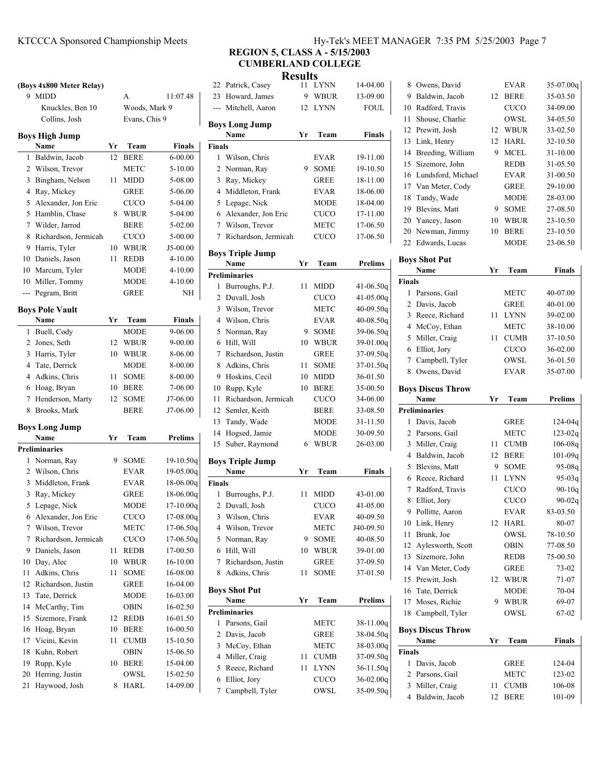#### KTCCCA Sponsored Championship Meets Hy-Tek's MEET MANAGER 7:35 PM 5/25/2003 Page 7

# **REGION 5, CLASS A - 5/15/2003 CUMBERLAND COLLEGE**

**Results**

|                       | (Boys 4x800 Meter Relay) |    |               |                |                |  |  |  |
|-----------------------|--------------------------|----|---------------|----------------|----------------|--|--|--|
|                       | 9 MIDD                   |    | A             | 11:07.48       |                |  |  |  |
|                       | Knuckles, Ben 10         |    | Woods, Mark 9 |                |                |  |  |  |
|                       | Collins, Josh            |    | Evans, Chis 9 |                | в              |  |  |  |
| <b>Boys High Jump</b> |                          |    |               |                |                |  |  |  |
|                       | Name                     | Yr | Team          | Finals         | Fi             |  |  |  |
| 1                     | Baldwin, Jacob           | 12 | <b>BERE</b>   | $6 - 00.00$    |                |  |  |  |
| 2                     | Wilson, Trevor           |    | METC          | 5-10.00        |                |  |  |  |
| 3                     | Bingham, Nelson          | 11 | <b>MIDD</b>   | 5-08.00        |                |  |  |  |
| 4                     | Ray, Mickey              |    | GREE          | 5-06.00        |                |  |  |  |
| 5                     | Alexander, Jon Eric      |    | <b>CUCO</b>   | 5-04.00        |                |  |  |  |
| 5                     | Hamblin, Chase           | 8  | <b>WBUR</b>   | 5-04.00        |                |  |  |  |
| 7                     | Wilder, Jarrod           |    | BERE          | 5-02.00        |                |  |  |  |
| 8                     | Richardson, Jermicah     |    | <b>CUCO</b>   | 5-00.00        |                |  |  |  |
| 9                     | Harris, Tyler            | 10 | <b>WBUR</b>   | J5-00.00       |                |  |  |  |
|                       | 10 Daniels, Jason        | 11 | <b>REDB</b>   | $4 - 10.00$    | в              |  |  |  |
|                       | 10 Marcum, Tyler         |    | MODE          | $4 - 10.00$    |                |  |  |  |
|                       | 10 Miller, Tommy         |    | MODE          | $4 - 10.00$    | P <sub>1</sub> |  |  |  |
| $\overline{a}$        | Pegram, Britt            |    | GREE          | NΗ             |                |  |  |  |
|                       |                          |    |               |                |                |  |  |  |
|                       | <b>Boys Pole Vault</b>   |    |               |                |                |  |  |  |
|                       | Name                     | Yr | Team          | Finals         |                |  |  |  |
| 1                     | Buell, Cody              |    | MODE          | 9-06.00        |                |  |  |  |
| $\overline{2}$        | Jones, Seth              | 12 | <b>WBUR</b>   | 9-00.00        |                |  |  |  |
| 3                     | Harris, Tyler            | 10 | <b>WBUR</b>   | 8-06.00        |                |  |  |  |
| $\overline{4}$        | Tate, Derrick            |    | <b>MODE</b>   | 8-00.00        |                |  |  |  |
| $\overline{4}$        | Adkins, Chris            | 11 | SOME          | 8-00.00        |                |  |  |  |
| 6                     | Hoag, Bryan              | 10 | <b>BERE</b>   | 7-06.00        |                |  |  |  |
| 7                     | Henderson, Marty         | 12 | SOME          | J7-06.00       |                |  |  |  |
| 8                     | Brooks, Mark             |    | BERE          | J7-06.00       |                |  |  |  |
| <b>Boys Long Jump</b> |                          |    |               |                |                |  |  |  |
|                       | Name                     | Yr | Team          | <b>Prelims</b> |                |  |  |  |
|                       | <b>Preliminaries</b>     |    |               |                |                |  |  |  |
| 1                     | Norman, Ray              | 9  | SOME          | 19-10.50q      | в              |  |  |  |
| 2                     | Wilson, Chris            |    | <b>EVAR</b>   | $19-05.00q$    |                |  |  |  |
| 3                     | Middleton, Frank         |    | <b>EVAR</b>   | $18-06.00q$    | Fi             |  |  |  |
| 3                     | Ray, Mickey              |    | GREE          | $18-06.00q$    |                |  |  |  |
| 5                     | Lepage, Nick             |    | <b>MODE</b>   | 17-10.00q      |                |  |  |  |
| 6                     | Alexander, Jon Eric      |    | <b>CUCO</b>   | 17-08.00q      |                |  |  |  |
| 7                     | Wilson, Trevor           |    | <b>METC</b>   | $17-06.50q$    |                |  |  |  |
| 7                     | Richardson, Jermicah     |    | CUCO          | $17-06.50q$    |                |  |  |  |
| 9                     | Daniels, Jason           | 11 | <b>REDB</b>   | 17-00.50       |                |  |  |  |
| 10                    | Day, Alec                | 10 | WBUR          | 16-10.00       |                |  |  |  |
| 11                    | Adkins, Chris            | 11 | SOME          | 16-08.00       |                |  |  |  |
| 12                    | Richardson, Justin       |    | GREE          | 16-04.00       |                |  |  |  |
| 13                    | Tate, Derrick            |    | MODE          | 16-03.00       | В              |  |  |  |
| 14                    | McCarthy, Tim            |    | OBIN          | 16-02.50       | P <sub>1</sub> |  |  |  |
| 15                    | Sizemore, Frank          | 12 | REDB          | 16-01.50       |                |  |  |  |
| 16                    | Hoag, Bryan              | 10 | BERE          | 16-00.50       |                |  |  |  |
| 17                    | Vicini, Kevin            | 11 | CUMB          | 15-10.50       |                |  |  |  |
| 18                    | Kuhn, Robert             |    | OBIN          | 15-06.50       |                |  |  |  |
| 19                    | Rupp, Kyle               | 10 | BERE          | 15-04.00       |                |  |  |  |
| 20                    | Herring, Justin          |    | OWSL          | 15-02.50       |                |  |  |  |
| 21                    | Haywood, Josh            | 8  | HARL          | 14-09.00       |                |  |  |  |
|                       |                          |    |               |                |                |  |  |  |

|               |                              | results |             |                        |
|---------------|------------------------------|---------|-------------|------------------------|
| 22            | Patrick, Casey               | 11 -    | <b>LYNN</b> | 14-04.00               |
| 23            | Howard, James                | 9       | WBUR        | 13-09.00               |
|               | --- Mitchell, Aaron          | 12      | LYNN        | FOUL                   |
|               | <b>Boys Long Jump</b>        |         |             |                        |
|               | Name                         | Yr      | Team        | Finals                 |
| <b>Finals</b> |                              |         |             |                        |
| 1             | Wilson, Chris                |         | EVAR        | 19-11.00               |
| 2             | Norman, Ray                  | 9       | <b>SOME</b> | 19-10.50               |
| 3             | Ray, Mickey                  |         | GREE        | 18-11.00               |
| 4             | Middleton, Frank             |         | EVAR        | 18-06.00               |
| 5             | Lepage, Nick                 |         | MODE        | 18-04.00               |
| 6             | Alexander, Jon Eric          |         | CUCO        | 17-11.00               |
| $7^{\circ}$   | Wilson, Trevor               |         | METC        | 17-06.50               |
| 7             | Richardson, Jermicah         |         | CUCO        | 17-06.50               |
|               |                              |         |             |                        |
|               | <b>Boys Triple Jump</b>      |         |             |                        |
|               | Name                         | Yr      | Team        | Prelims                |
|               | <b>Preliminaries</b>         |         |             |                        |
| 1             | Burroughs, P.J.              | 11      | <b>MIDD</b> | $41 - 06.50q$          |
| 2             | Duvall, Josh                 |         | CUCO        | $41 - 05.00q$          |
| 3             | Wilson, Trevor               |         | METC        | 40-09.50q              |
| 4             | Wilson, Chris                |         | <b>EVAR</b> | $40 - 08.50q$          |
| 5             | Norman, Ray                  | 9       | <b>SOME</b> | 39-06.50g              |
| 6             | Hill, Will                   | 10      | <b>WBUR</b> | 39-01.00q              |
| 7             | Richardson, Justin           |         | <b>GREE</b> | 37-09.50g              |
| 8             | Adkins, Chris                | 11      | SOME        | 37-01.50q              |
| 9             | Hoskins, Cecil               | 10      | MIDD        | 36-01.50               |
| 10            | Rupp, Kyle                   | 10      | <b>BERE</b> | 35-00.50               |
| 11            | Richardson, Jermicah         |         | CUCO        | 34-06.00               |
| 12            | Semler, Keith                |         | <b>BERE</b> | 33-08.50               |
| 13            | Tandy, Wade                  |         | MODE        | 31-11.50               |
| 14            | Hogsed, Jamie                |         | <b>MODE</b> | 30-09.50               |
| 15            | Suber, Raymond               | 6       | WBUR        | 26-03.00               |
|               | <b>Boys Triple Jump</b>      |         |             |                        |
|               | Name                         | Yr      | Team        | Finals                 |
| <b>Finals</b> |                              |         |             |                        |
| 1             | Burroughs, P.J.              | 11      | <b>MIDD</b> | 43-01.00               |
| 2             | Duvall, Josh                 |         | CUCO        | 41-05.00               |
|               | 3 Wilson, Chris              |         | <b>EVAR</b> | 40-09.50               |
| 4             | Wilson, Trevor               |         | <b>METC</b> | J40-09.50              |
| 5             | Norman, Ray                  | 9       | SOME        | 40-08.50               |
| 6             | Hill, Will                   | 10      | WBUR        | 39-01.00               |
| 7             | Richardson, Justin           |         | GREE        | 37-09.50               |
| 8             | Adkins, Chris                | 11      | SOME        | 37-01.50               |
|               |                              |         |             |                        |
|               | <b>Boys Shot Put</b><br>Name | Yr      | Team        | Prelims                |
|               | <b>Preliminaries</b>         |         |             |                        |
| 1             | Parsons, Gail                |         | METC        | 38-11.00q              |
| 2             | Davis, Jacob                 |         | GREE        | 38-04.50q              |
| 3             | McCoy, Ethan                 |         | METC        | 38-03.00q              |
| 4             | Miller, Craig                | 11      | <b>CUMB</b> | 37-09.50q              |
| 5             | Reece, Richard               | 11      | <b>LYNN</b> | 36-11.50q              |
|               |                              |         |             |                        |
| 6             | Elliot, Jory                 |         | CUCO        | 36-02.00q<br>35-09.50q |
| 7             | Campbell, Tyler              |         | OWSL        |                        |

| 8  | Owens, David          |              | <b>EVAR</b> | $35-07.00q$        |
|----|-----------------------|--------------|-------------|--------------------|
| 9  | Baldwin, Jacob        | 12           | <b>BERE</b> | 35-03.50           |
| 10 | Radford, Travis       |              | <b>CUCO</b> | 34-09.00           |
| 11 | Shouse, Charlie       |              | OWSL        | 34-05.50           |
| 12 | Prewitt, Josh         | 12           | <b>WBUR</b> | 33-02.50           |
| 13 | Link, Henry           | 12           | HARL        | 32-10.50           |
|    | 14 Breeding, William  | 9            | <b>MCEL</b> | $31 - 10.00$       |
| 15 | Sizemore, John        |              | <b>REDB</b> | 31-05.50           |
|    | 16 Lundsford, Michael |              | <b>EVAR</b> | 31-00.50           |
|    | 17 Van Meter, Cody    |              | <b>GREE</b> | 29-10.00           |
| 18 | Tandy, Wade           |              | <b>MODE</b> | 28-03.00           |
| 19 | Blevins, Matt         | 9            | <b>SOME</b> | 27-08.50           |
|    | 20 Yancey, Jason      | 10           | <b>WBUR</b> | 23-10.50           |
| 20 | Newman, Jimmy         | 10           | <b>BERE</b> | 23-10.50           |
|    | 22 Edwards, Lucas     |              | <b>MODE</b> | 23-06.50           |
|    | <b>Boys Shot Put</b>  |              |             |                    |
|    |                       | $\mathbf{v}$ | m           | $\mathbf{r}$<br>х. |

|                | Name                     | Yr | Team        | <b>Finals</b>  |
|----------------|--------------------------|----|-------------|----------------|
| <b>Finals</b>  |                          |    |             |                |
| 1              | Parsons, Gail            |    | METC        | 40-07.00       |
| $\overline{2}$ | Davis, Jacob             |    | <b>GREE</b> | 40-01.00       |
| 3              | Reece, Richard           | 11 | <b>LYNN</b> | 39-02.00       |
| 4              | McCoy, Ethan             |    | <b>METC</b> | 38-10.00       |
| 5              | Miller, Craig            | 11 | <b>CUMB</b> | 37-10.50       |
| 6              | Elliot, Jory             |    | <b>CUCO</b> | 36-02.00       |
| 7              | Campbell, Tyler          |    | OWSL        | 36-01.50       |
| 8              | Owens, David             |    | <b>EVAR</b> | 35-07.00       |
|                | <b>Boys Discus Throw</b> |    |             |                |
|                | Name                     | Yr | Team        | <b>Prelims</b> |
|                | <b>Preliminaries</b>     |    |             |                |
| 1              | Davis, Jacob             |    | <b>GREE</b> | 124-04q        |
| 2              | Parsons, Gail            |    | <b>METC</b> | $123 - 02q$    |
| 3              | Miller, Craig            | 11 | <b>CUMB</b> | 106-08q        |
| 4              | Baldwin, Jacob           | 12 | <b>BERE</b> | $101 - 09q$    |
| 5              | Blevins, Matt            | 9  | <b>SOME</b> | 95-08q         |
| 6              | Reece, Richard           | 11 | <b>LYNN</b> | $95-03q$       |
| 7              | Radford, Travis          |    | <b>CUCO</b> | $90 - 10q$     |
| 8              | Elliot, Jory             |    | <b>CUCO</b> | $90 - 02q$     |
| 9              | Pollitte, Aaron          |    | <b>EVAR</b> | 83-03.50       |
| 10             | Link, Henry              | 12 | <b>HARL</b> | 80-07          |
| 11             | Brunk, Joe               |    | OWSL        | 78-10.50       |
| 12             | Aylesworth, Scott        |    | <b>OBIN</b> | 77-08.50       |
| 13             | Sizemore, John           |    | <b>REDB</b> | 75-00.50       |
| 14             | Van Meter, Cody          |    | <b>GREE</b> | 73-02          |
| 15             | Prewitt, Josh            | 12 | <b>WBUR</b> | 71-07          |
| 16             | Tate, Derrick            |    | <b>MODE</b> | 70-04          |
| 17             | Moses, Richie            | 9  | <b>WBUR</b> | 69-07          |
| 18             | Campbell, Tyler          |    | OWSL        | 67-02          |
|                | <b>Boys Discus Throw</b> |    |             |                |
|                | Name                     | Yr | Team        | <b>Finals</b>  |
| <b>Finals</b>  |                          |    |             |                |
| 1              | Davis, Jacob             |    | <b>GREE</b> | 124-04         |
| 2              | Parsons, Gail            |    | <b>METC</b> | 123-02         |
| 3              | Miller, Craig            | 11 | <b>CUMB</b> | 106-08         |
| 4              | Baldwin, Jacob           | 12 | <b>BERE</b> | 101-09         |
|                |                          |    |             |                |